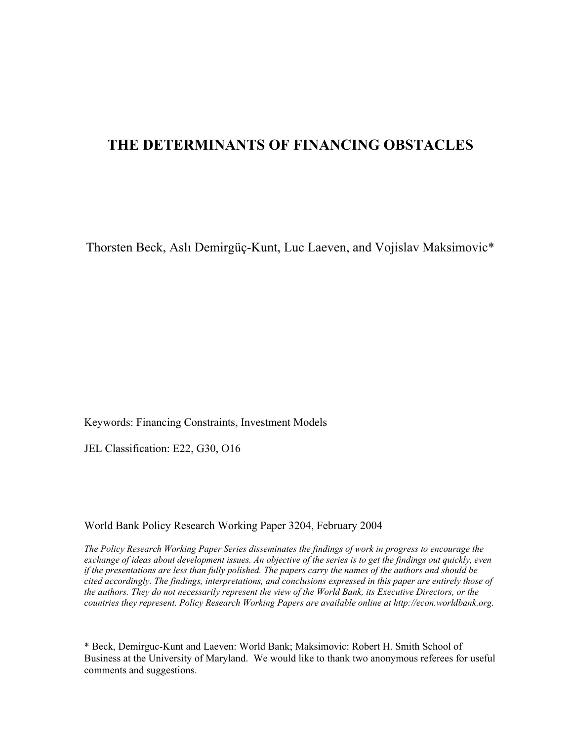# **THE DETERMINANTS OF FINANCING OBSTACLES**

Thorsten Beck, Aslı Demirgüç-Kunt, Luc Laeven, and Vojislav Maksimovic\*

Keywords: Financing Constraints, Investment Models

JEL Classification: E22, G30, O16

World Bank Policy Research Working Paper 3204, February 2004

*The Policy Research Working Paper Series disseminates the findings of work in progress to encourage the exchange of ideas about development issues. An objective of the series is to get the findings out quickly, even if the presentations are less than fully polished. The papers carry the names of the authors and should be cited accordingly. The findings, interpretations, and conclusions expressed in this paper are entirely those of the authors. They do not necessarily represent the view of the World Bank, its Executive Directors, or the countries they represent. Policy Research Working Papers are available online at http://econ.worldbank.org.*

\* Beck, Demirguc-Kunt and Laeven: World Bank; Maksimovic: Robert H. Smith School of Business at the University of Maryland. We would like to thank two anonymous referees for useful comments and suggestions.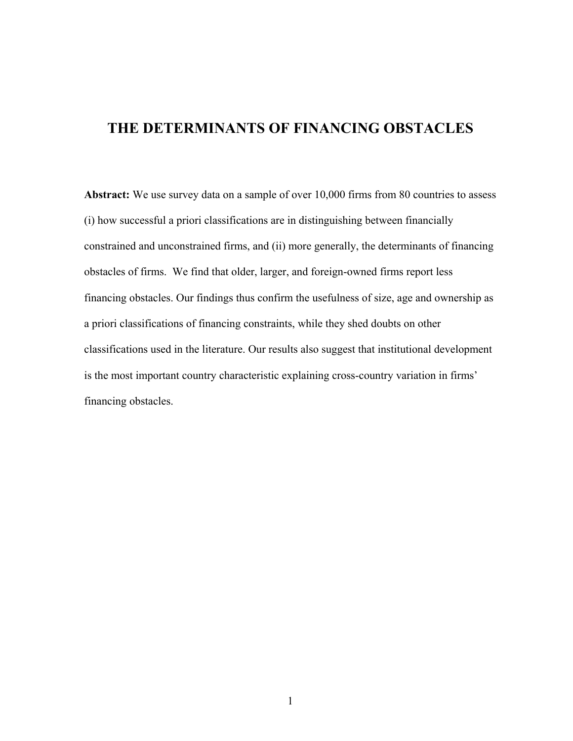# **THE DETERMINANTS OF FINANCING OBSTACLES**

Abstract: We use survey data on a sample of over 10,000 firms from 80 countries to assess (i) how successful a priori classifications are in distinguishing between financially constrained and unconstrained firms, and (ii) more generally, the determinants of financing obstacles of firms. We find that older, larger, and foreign-owned firms report less financing obstacles. Our findings thus confirm the usefulness of size, age and ownership as a priori classifications of financing constraints, while they shed doubts on other classifications used in the literature. Our results also suggest that institutional development is the most important country characteristic explaining cross-country variation in firms' financing obstacles.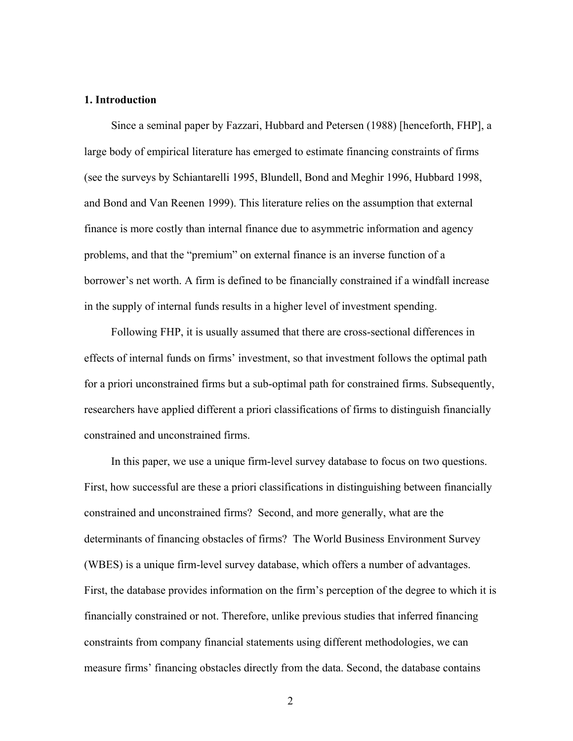#### **1. Introduction**

Since a seminal paper by Fazzari, Hubbard and Petersen (1988) [henceforth, FHP], a large body of empirical literature has emerged to estimate financing constraints of firms (see the surveys by Schiantarelli 1995, Blundell, Bond and Meghir 1996, Hubbard 1998, and Bond and Van Reenen 1999). This literature relies on the assumption that external finance is more costly than internal finance due to asymmetric information and agency problems, and that the "premium" on external finance is an inverse function of a borrower's net worth. A firm is defined to be financially constrained if a windfall increase in the supply of internal funds results in a higher level of investment spending.

Following FHP, it is usually assumed that there are cross-sectional differences in effects of internal funds on firms' investment, so that investment follows the optimal path for a priori unconstrained firms but a sub-optimal path for constrained firms. Subsequently, researchers have applied different a priori classifications of firms to distinguish financially constrained and unconstrained firms.

In this paper, we use a unique firm-level survey database to focus on two questions. First, how successful are these a priori classifications in distinguishing between financially constrained and unconstrained firms? Second, and more generally, what are the determinants of financing obstacles of firms? The World Business Environment Survey (WBES) is a unique firm-level survey database, which offers a number of advantages. First, the database provides information on the firm's perception of the degree to which it is financially constrained or not. Therefore, unlike previous studies that inferred financing constraints from company financial statements using different methodologies, we can measure firms' financing obstacles directly from the data. Second, the database contains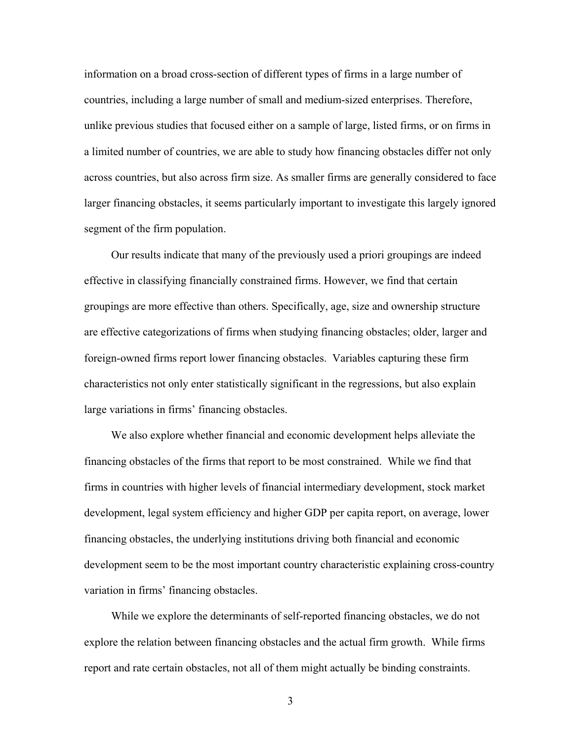information on a broad cross-section of different types of firms in a large number of countries, including a large number of small and medium-sized enterprises. Therefore, unlike previous studies that focused either on a sample of large, listed firms, or on firms in a limited number of countries, we are able to study how financing obstacles differ not only across countries, but also across firm size. As smaller firms are generally considered to face larger financing obstacles, it seems particularly important to investigate this largely ignored segment of the firm population.

Our results indicate that many of the previously used a priori groupings are indeed effective in classifying financially constrained firms. However, we find that certain groupings are more effective than others. Specifically, age, size and ownership structure are effective categorizations of firms when studying financing obstacles; older, larger and foreign-owned firms report lower financing obstacles. Variables capturing these firm characteristics not only enter statistically significant in the regressions, but also explain large variations in firms' financing obstacles.

We also explore whether financial and economic development helps alleviate the financing obstacles of the firms that report to be most constrained. While we find that firms in countries with higher levels of financial intermediary development, stock market development, legal system efficiency and higher GDP per capita report, on average, lower financing obstacles, the underlying institutions driving both financial and economic development seem to be the most important country characteristic explaining cross-country variation in firms' financing obstacles.

While we explore the determinants of self-reported financing obstacles, we do not explore the relation between financing obstacles and the actual firm growth. While firms report and rate certain obstacles, not all of them might actually be binding constraints.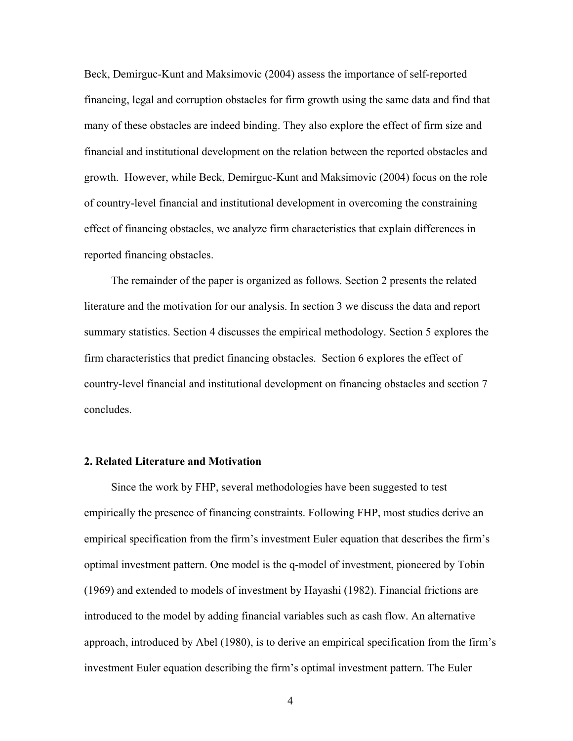Beck, Demirguc-Kunt and Maksimovic (2004) assess the importance of self-reported financing, legal and corruption obstacles for firm growth using the same data and find that many of these obstacles are indeed binding. They also explore the effect of firm size and financial and institutional development on the relation between the reported obstacles and growth. However, while Beck, Demirguc-Kunt and Maksimovic (2004) focus on the role of country-level financial and institutional development in overcoming the constraining effect of financing obstacles, we analyze firm characteristics that explain differences in reported financing obstacles.

The remainder of the paper is organized as follows. Section 2 presents the related literature and the motivation for our analysis. In section 3 we discuss the data and report summary statistics. Section 4 discusses the empirical methodology. Section 5 explores the firm characteristics that predict financing obstacles. Section 6 explores the effect of country-level financial and institutional development on financing obstacles and section 7 concludes.

#### **2. Related Literature and Motivation**

Since the work by FHP, several methodologies have been suggested to test empirically the presence of financing constraints. Following FHP, most studies derive an empirical specification from the firm's investment Euler equation that describes the firm's optimal investment pattern. One model is the q-model of investment, pioneered by Tobin (1969) and extended to models of investment by Hayashi (1982). Financial frictions are introduced to the model by adding financial variables such as cash flow. An alternative approach, introduced by Abel (1980), is to derive an empirical specification from the firm's investment Euler equation describing the firm's optimal investment pattern. The Euler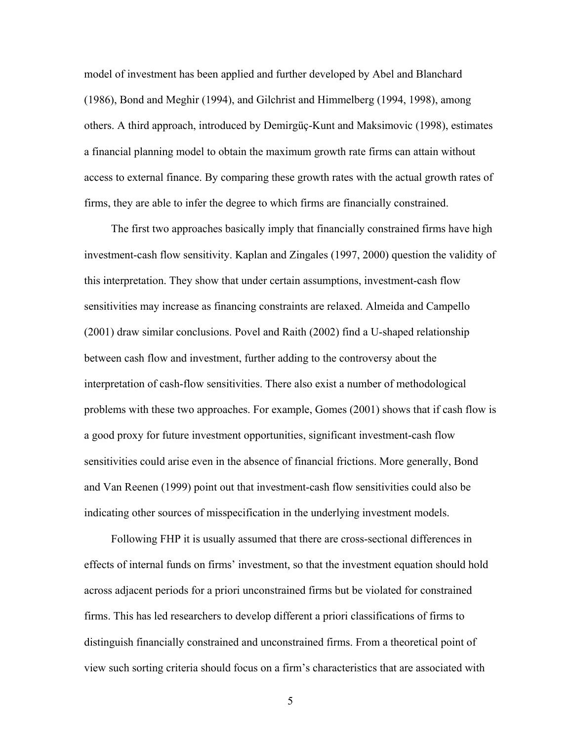model of investment has been applied and further developed by Abel and Blanchard (1986), Bond and Meghir (1994), and Gilchrist and Himmelberg (1994, 1998), among others. A third approach, introduced by Demirgüç-Kunt and Maksimovic (1998), estimates a financial planning model to obtain the maximum growth rate firms can attain without access to external finance. By comparing these growth rates with the actual growth rates of firms, they are able to infer the degree to which firms are financially constrained.

The first two approaches basically imply that financially constrained firms have high investment-cash flow sensitivity. Kaplan and Zingales (1997, 2000) question the validity of this interpretation. They show that under certain assumptions, investment-cash flow sensitivities may increase as financing constraints are relaxed. Almeida and Campello (2001) draw similar conclusions. Povel and Raith (2002) find a U-shaped relationship between cash flow and investment, further adding to the controversy about the interpretation of cash-flow sensitivities. There also exist a number of methodological problems with these two approaches. For example, Gomes (2001) shows that if cash flow is a good proxy for future investment opportunities, significant investment-cash flow sensitivities could arise even in the absence of financial frictions. More generally, Bond and Van Reenen (1999) point out that investment-cash flow sensitivities could also be indicating other sources of misspecification in the underlying investment models.

Following FHP it is usually assumed that there are cross-sectional differences in effects of internal funds on firms' investment, so that the investment equation should hold across adjacent periods for a priori unconstrained firms but be violated for constrained firms. This has led researchers to develop different a priori classifications of firms to distinguish financially constrained and unconstrained firms. From a theoretical point of view such sorting criteria should focus on a firm's characteristics that are associated with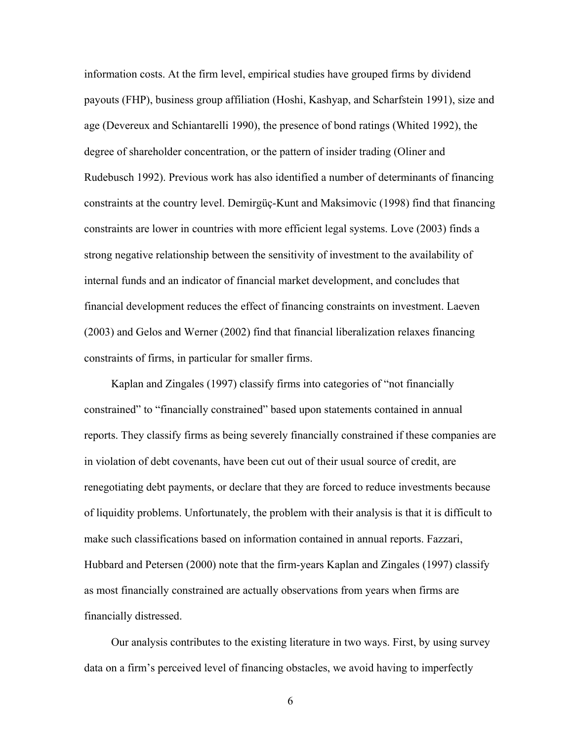information costs. At the firm level, empirical studies have grouped firms by dividend payouts (FHP), business group affiliation (Hoshi, Kashyap, and Scharfstein 1991), size and age (Devereux and Schiantarelli 1990), the presence of bond ratings (Whited 1992), the degree of shareholder concentration, or the pattern of insider trading (Oliner and Rudebusch 1992). Previous work has also identified a number of determinants of financing constraints at the country level. Demirgüç-Kunt and Maksimovic (1998) find that financing constraints are lower in countries with more efficient legal systems. Love (2003) finds a strong negative relationship between the sensitivity of investment to the availability of internal funds and an indicator of financial market development, and concludes that financial development reduces the effect of financing constraints on investment. Laeven (2003) and Gelos and Werner (2002) find that financial liberalization relaxes financing constraints of firms, in particular for smaller firms.

Kaplan and Zingales (1997) classify firms into categories of "not financially constrained" to "financially constrained" based upon statements contained in annual reports. They classify firms as being severely financially constrained if these companies are in violation of debt covenants, have been cut out of their usual source of credit, are renegotiating debt payments, or declare that they are forced to reduce investments because of liquidity problems. Unfortunately, the problem with their analysis is that it is difficult to make such classifications based on information contained in annual reports. Fazzari, Hubbard and Petersen (2000) note that the firm-years Kaplan and Zingales (1997) classify as most financially constrained are actually observations from years when firms are financially distressed.

Our analysis contributes to the existing literature in two ways. First, by using survey data on a firm's perceived level of financing obstacles, we avoid having to imperfectly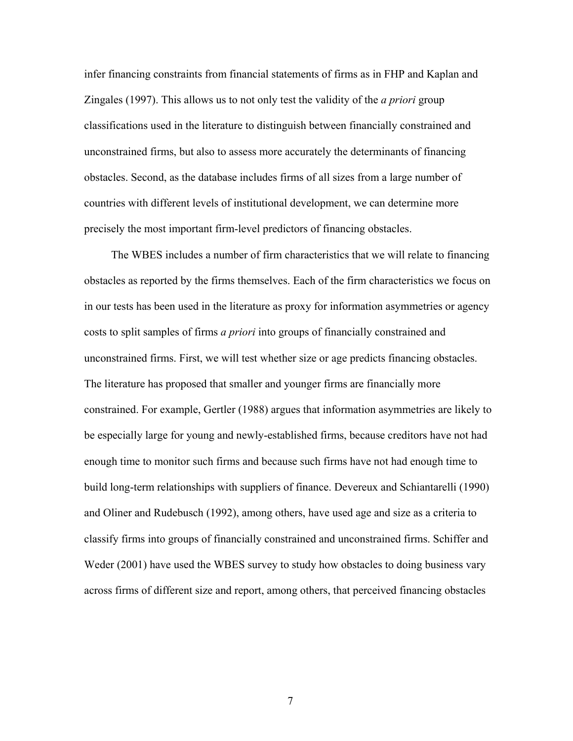infer financing constraints from financial statements of firms as in FHP and Kaplan and Zingales (1997). This allows us to not only test the validity of the *a priori* group classifications used in the literature to distinguish between financially constrained and unconstrained firms, but also to assess more accurately the determinants of financing obstacles. Second, as the database includes firms of all sizes from a large number of countries with different levels of institutional development, we can determine more precisely the most important firm-level predictors of financing obstacles.

The WBES includes a number of firm characteristics that we will relate to financing obstacles as reported by the firms themselves. Each of the firm characteristics we focus on in our tests has been used in the literature as proxy for information asymmetries or agency costs to split samples of firms *a priori* into groups of financially constrained and unconstrained firms. First, we will test whether size or age predicts financing obstacles. The literature has proposed that smaller and younger firms are financially more constrained. For example, Gertler (1988) argues that information asymmetries are likely to be especially large for young and newly-established firms, because creditors have not had enough time to monitor such firms and because such firms have not had enough time to build long-term relationships with suppliers of finance. Devereux and Schiantarelli (1990) and Oliner and Rudebusch (1992), among others, have used age and size as a criteria to classify firms into groups of financially constrained and unconstrained firms. Schiffer and Weder (2001) have used the WBES survey to study how obstacles to doing business vary across firms of different size and report, among others, that perceived financing obstacles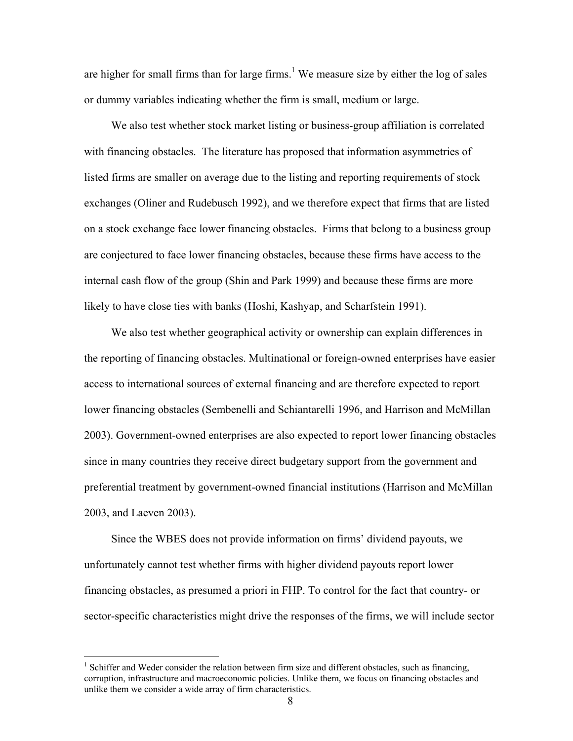are higher for small firms than for large firms.<sup>1</sup> We measure size by either the log of sales or dummy variables indicating whether the firm is small, medium or large.

We also test whether stock market listing or business-group affiliation is correlated with financing obstacles. The literature has proposed that information asymmetries of listed firms are smaller on average due to the listing and reporting requirements of stock exchanges (Oliner and Rudebusch 1992), and we therefore expect that firms that are listed on a stock exchange face lower financing obstacles. Firms that belong to a business group are conjectured to face lower financing obstacles, because these firms have access to the internal cash flow of the group (Shin and Park 1999) and because these firms are more likely to have close ties with banks (Hoshi, Kashyap, and Scharfstein 1991).

We also test whether geographical activity or ownership can explain differences in the reporting of financing obstacles. Multinational or foreign-owned enterprises have easier access to international sources of external financing and are therefore expected to report lower financing obstacles (Sembenelli and Schiantarelli 1996, and Harrison and McMillan 2003). Government-owned enterprises are also expected to report lower financing obstacles since in many countries they receive direct budgetary support from the government and preferential treatment by government-owned financial institutions (Harrison and McMillan 2003, and Laeven 2003).

Since the WBES does not provide information on firms' dividend payouts, we unfortunately cannot test whether firms with higher dividend payouts report lower financing obstacles, as presumed a priori in FHP. To control for the fact that country- or sector-specific characteristics might drive the responses of the firms, we will include sector

<sup>&</sup>lt;sup>1</sup> Schiffer and Weder consider the relation between firm size and different obstacles, such as financing, corruption, infrastructure and macroeconomic policies. Unlike them, we focus on financing obstacles and unlike them we consider a wide array of firm characteristics.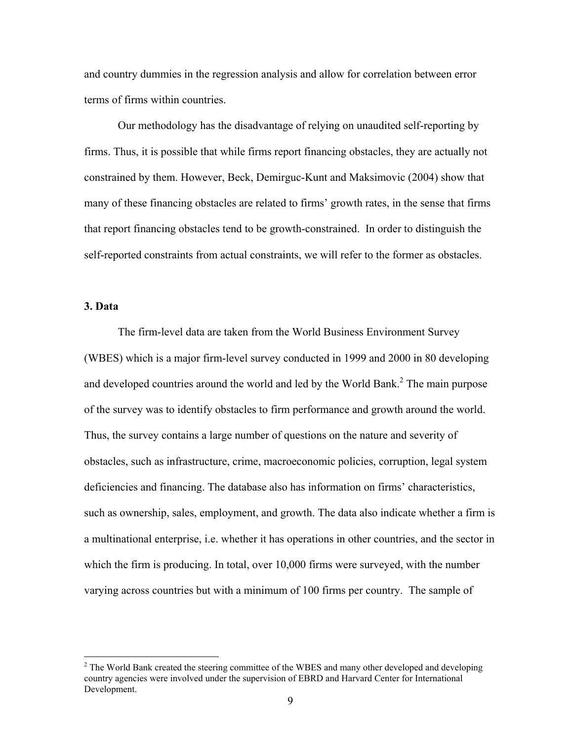and country dummies in the regression analysis and allow for correlation between error terms of firms within countries.

 Our methodology has the disadvantage of relying on unaudited self-reporting by firms. Thus, it is possible that while firms report financing obstacles, they are actually not constrained by them. However, Beck, Demirguc-Kunt and Maksimovic (2004) show that many of these financing obstacles are related to firms' growth rates, in the sense that firms that report financing obstacles tend to be growth-constrained. In order to distinguish the self-reported constraints from actual constraints, we will refer to the former as obstacles.

### **3. Data**

 $\overline{a}$ 

 The firm-level data are taken from the World Business Environment Survey (WBES) which is a major firm-level survey conducted in 1999 and 2000 in 80 developing and developed countries around the world and led by the World Bank. $^2$  The main purpose of the survey was to identify obstacles to firm performance and growth around the world. Thus, the survey contains a large number of questions on the nature and severity of obstacles, such as infrastructure, crime, macroeconomic policies, corruption, legal system deficiencies and financing. The database also has information on firms' characteristics, such as ownership, sales, employment, and growth. The data also indicate whether a firm is a multinational enterprise, i.e. whether it has operations in other countries, and the sector in which the firm is producing. In total, over 10,000 firms were surveyed, with the number varying across countries but with a minimum of 100 firms per country. The sample of

 $2^2$  The World Bank created the steering committee of the WBES and many other developed and developing country agencies were involved under the supervision of EBRD and Harvard Center for International Development.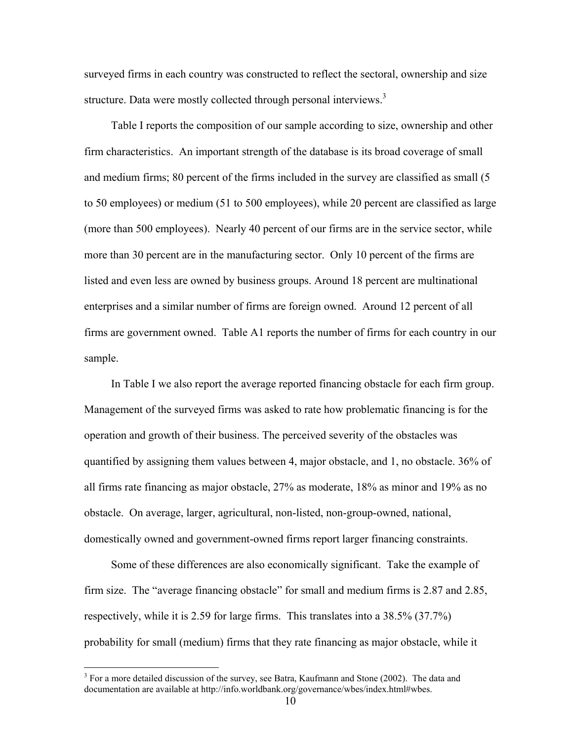surveyed firms in each country was constructed to reflect the sectoral, ownership and size structure. Data were mostly collected through personal interviews.<sup>3</sup>

Table I reports the composition of our sample according to size, ownership and other firm characteristics. An important strength of the database is its broad coverage of small and medium firms; 80 percent of the firms included in the survey are classified as small (5 to 50 employees) or medium (51 to 500 employees), while 20 percent are classified as large (more than 500 employees). Nearly 40 percent of our firms are in the service sector, while more than 30 percent are in the manufacturing sector. Only 10 percent of the firms are listed and even less are owned by business groups. Around 18 percent are multinational enterprises and a similar number of firms are foreign owned. Around 12 percent of all firms are government owned. Table A1 reports the number of firms for each country in our sample.

In Table I we also report the average reported financing obstacle for each firm group. Management of the surveyed firms was asked to rate how problematic financing is for the operation and growth of their business. The perceived severity of the obstacles was quantified by assigning them values between 4, major obstacle, and 1, no obstacle. 36% of all firms rate financing as major obstacle, 27% as moderate, 18% as minor and 19% as no obstacle. On average, larger, agricultural, non-listed, non-group-owned, national, domestically owned and government-owned firms report larger financing constraints.

Some of these differences are also economically significant. Take the example of firm size. The "average financing obstacle" for small and medium firms is 2.87 and 2.85, respectively, while it is 2.59 for large firms. This translates into a 38.5% (37.7%) probability for small (medium) firms that they rate financing as major obstacle, while it

 $3$  For a more detailed discussion of the survey, see Batra, Kaufmann and Stone (2002). The data and documentation are available at http://info.worldbank.org/governance/wbes/index.html#wbes.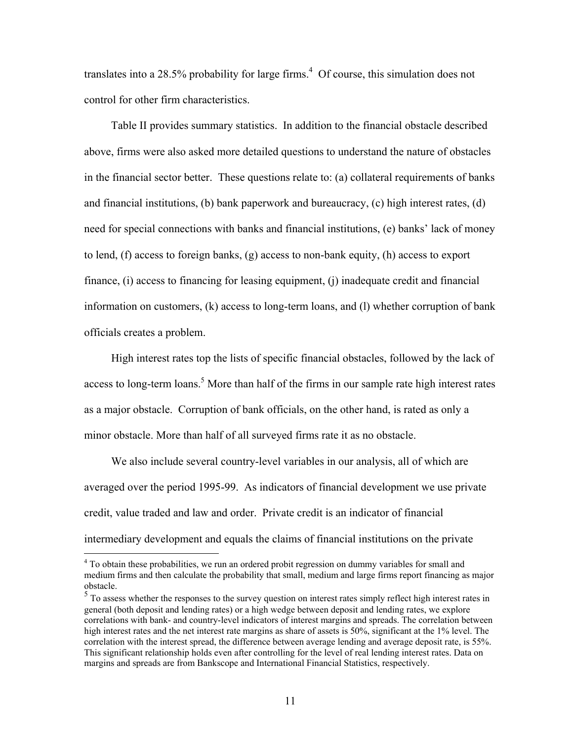translates into a 28.5% probability for large firms.<sup>4</sup> Of course, this simulation does not control for other firm characteristics.

Table II provides summary statistics. In addition to the financial obstacle described above, firms were also asked more detailed questions to understand the nature of obstacles in the financial sector better. These questions relate to: (a) collateral requirements of banks and financial institutions, (b) bank paperwork and bureaucracy, (c) high interest rates, (d) need for special connections with banks and financial institutions, (e) banks' lack of money to lend, (f) access to foreign banks, (g) access to non-bank equity, (h) access to export finance, (i) access to financing for leasing equipment, (j) inadequate credit and financial information on customers, (k) access to long-term loans, and (l) whether corruption of bank officials creates a problem.

High interest rates top the lists of specific financial obstacles, followed by the lack of access to long-term loans.<sup>5</sup> More than half of the firms in our sample rate high interest rates as a major obstacle. Corruption of bank officials, on the other hand, is rated as only a minor obstacle. More than half of all surveyed firms rate it as no obstacle.

We also include several country-level variables in our analysis, all of which are averaged over the period 1995-99. As indicators of financial development we use private credit, value traded and law and order. Private credit is an indicator of financial intermediary development and equals the claims of financial institutions on the private

<sup>&</sup>lt;sup>4</sup> To obtain these probabilities, we run an ordered probit regression on dummy variables for small and medium firms and then calculate the probability that small, medium and large firms report financing as major obstacle.

 $<sup>5</sup>$  To assess whether the responses to the survey question on interest rates simply reflect high interest rates in</sup> general (both deposit and lending rates) or a high wedge between deposit and lending rates, we explore correlations with bank- and country-level indicators of interest margins and spreads. The correlation between high interest rates and the net interest rate margins as share of assets is 50%, significant at the 1% level. The correlation with the interest spread, the difference between average lending and average deposit rate, is 55%. This significant relationship holds even after controlling for the level of real lending interest rates. Data on margins and spreads are from Bankscope and International Financial Statistics, respectively.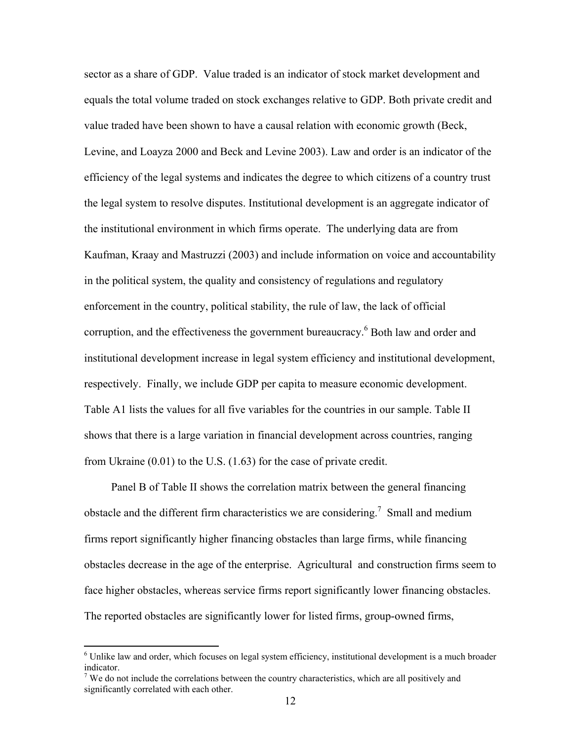sector as a share of GDP. Value traded is an indicator of stock market development and equals the total volume traded on stock exchanges relative to GDP. Both private credit and value traded have been shown to have a causal relation with economic growth (Beck, Levine, and Loayza 2000 and Beck and Levine 2003). Law and order is an indicator of the efficiency of the legal systems and indicates the degree to which citizens of a country trust the legal system to resolve disputes. Institutional development is an aggregate indicator of the institutional environment in which firms operate. The underlying data are from Kaufman, Kraay and Mastruzzi (2003) and include information on voice and accountability in the political system, the quality and consistency of regulations and regulatory enforcement in the country, political stability, the rule of law, the lack of official corruption, and the effectiveness the government bureaucracy.<sup>6</sup> Both law and order and institutional development increase in legal system efficiency and institutional development, respectively. Finally, we include GDP per capita to measure economic development. Table A1 lists the values for all five variables for the countries in our sample. Table II shows that there is a large variation in financial development across countries, ranging from Ukraine (0.01) to the U.S. (1.63) for the case of private credit.

Panel B of Table II shows the correlation matrix between the general financing obstacle and the different firm characteristics we are considering.<sup>7</sup> Small and medium firms report significantly higher financing obstacles than large firms, while financing obstacles decrease in the age of the enterprise. Agricultural and construction firms seem to face higher obstacles, whereas service firms report significantly lower financing obstacles. The reported obstacles are significantly lower for listed firms, group-owned firms,

<sup>&</sup>lt;sup>6</sup> Unlike law and order, which focuses on legal system efficiency, institutional development is a much broader indicator.

 $7$  We do not include the correlations between the country characteristics, which are all positively and significantly correlated with each other.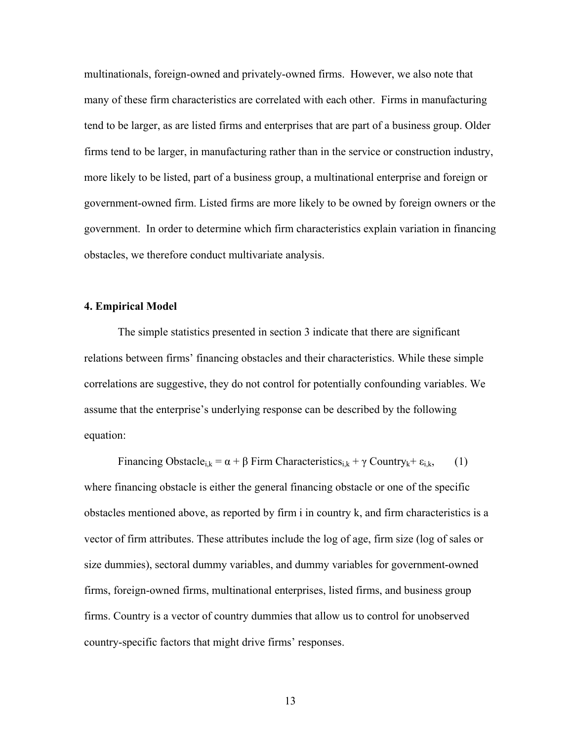multinationals, foreign-owned and privately-owned firms. However, we also note that many of these firm characteristics are correlated with each other. Firms in manufacturing tend to be larger, as are listed firms and enterprises that are part of a business group. Older firms tend to be larger, in manufacturing rather than in the service or construction industry, more likely to be listed, part of a business group, a multinational enterprise and foreign or government-owned firm. Listed firms are more likely to be owned by foreign owners or the government. In order to determine which firm characteristics explain variation in financing obstacles, we therefore conduct multivariate analysis.

#### **4. Empirical Model**

 The simple statistics presented in section 3 indicate that there are significant relations between firms' financing obstacles and their characteristics. While these simple correlations are suggestive, they do not control for potentially confounding variables. We assume that the enterprise's underlying response can be described by the following equation:

Financing Obstacle<sub>i,k</sub> =  $\alpha + \beta$  Firm Characteristics<sub>i,k</sub> +  $\gamma$  Country<sub>k</sub>+  $\varepsilon$ <sub>i,k</sub>, (1) where financing obstacle is either the general financing obstacle or one of the specific obstacles mentioned above, as reported by firm i in country k, and firm characteristics is a vector of firm attributes. These attributes include the log of age, firm size (log of sales or size dummies), sectoral dummy variables, and dummy variables for government-owned firms, foreign-owned firms, multinational enterprises, listed firms, and business group firms. Country is a vector of country dummies that allow us to control for unobserved country-specific factors that might drive firms' responses.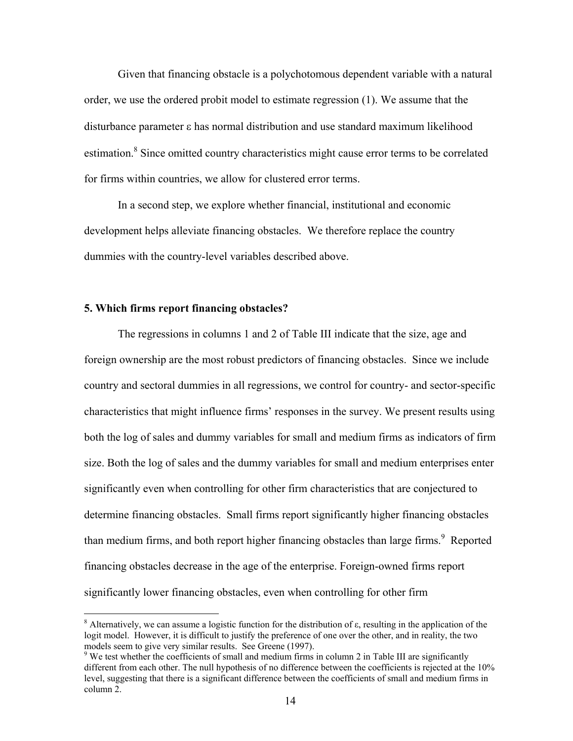Given that financing obstacle is a polychotomous dependent variable with a natural order, we use the ordered probit model to estimate regression (1). We assume that the disturbance parameter ε has normal distribution and use standard maximum likelihood estimation.<sup>8</sup> Since omitted country characteristics might cause error terms to be correlated for firms within countries, we allow for clustered error terms.

In a second step, we explore whether financial, institutional and economic development helps alleviate financing obstacles. We therefore replace the country dummies with the country-level variables described above.

### **5. Which firms report financing obstacles?**

The regressions in columns 1 and 2 of Table III indicate that the size, age and foreign ownership are the most robust predictors of financing obstacles. Since we include country and sectoral dummies in all regressions, we control for country- and sector-specific characteristics that might influence firms' responses in the survey. We present results using both the log of sales and dummy variables for small and medium firms as indicators of firm size. Both the log of sales and the dummy variables for small and medium enterprises enter significantly even when controlling for other firm characteristics that are conjectured to determine financing obstacles. Small firms report significantly higher financing obstacles than medium firms, and both report higher financing obstacles than large firms.<sup>9</sup> Reported financing obstacles decrease in the age of the enterprise. Foreign-owned firms report significantly lower financing obstacles, even when controlling for other firm

 8 Alternatively, we can assume a logistic function for the distribution of ε, resulting in the application of the logit model. However, it is difficult to justify the preference of one over the other, and in reality, the two models seem to give very similar results. See Greene (1997).

 $9$  We test whether the coefficients of small and medium firms in column 2 in Table III are significantly different from each other. The null hypothesis of no difference between the coefficients is rejected at the 10% level, suggesting that there is a significant difference between the coefficients of small and medium firms in column 2.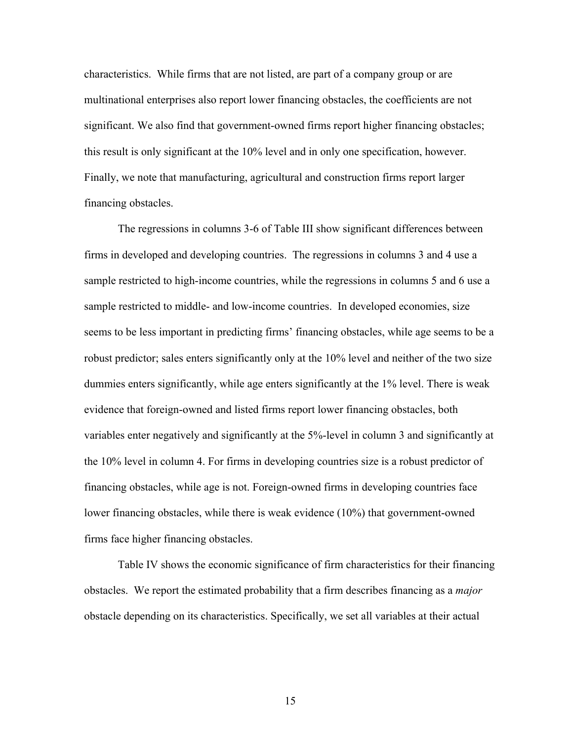characteristics. While firms that are not listed, are part of a company group or are multinational enterprises also report lower financing obstacles, the coefficients are not significant. We also find that government-owned firms report higher financing obstacles; this result is only significant at the 10% level and in only one specification, however. Finally, we note that manufacturing, agricultural and construction firms report larger financing obstacles.

The regressions in columns 3-6 of Table III show significant differences between firms in developed and developing countries. The regressions in columns 3 and 4 use a sample restricted to high-income countries, while the regressions in columns 5 and 6 use a sample restricted to middle- and low-income countries. In developed economies, size seems to be less important in predicting firms' financing obstacles, while age seems to be a robust predictor; sales enters significantly only at the 10% level and neither of the two size dummies enters significantly, while age enters significantly at the 1% level. There is weak evidence that foreign-owned and listed firms report lower financing obstacles, both variables enter negatively and significantly at the 5%-level in column 3 and significantly at the 10% level in column 4. For firms in developing countries size is a robust predictor of financing obstacles, while age is not. Foreign-owned firms in developing countries face lower financing obstacles, while there is weak evidence (10%) that government-owned firms face higher financing obstacles.

Table IV shows the economic significance of firm characteristics for their financing obstacles. We report the estimated probability that a firm describes financing as a *major* obstacle depending on its characteristics. Specifically, we set all variables at their actual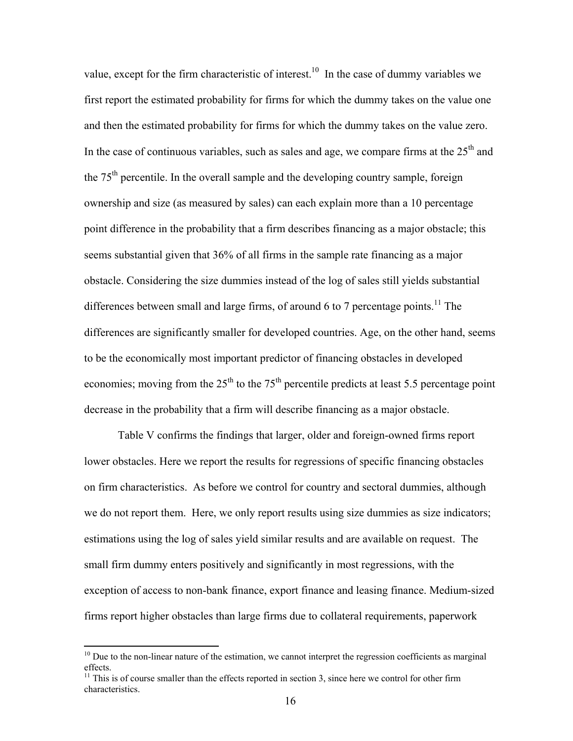value, except for the firm characteristic of interest.<sup>10</sup> In the case of dummy variables we first report the estimated probability for firms for which the dummy takes on the value one and then the estimated probability for firms for which the dummy takes on the value zero. In the case of continuous variables, such as sales and age, we compare firms at the  $25<sup>th</sup>$  and the  $75<sup>th</sup>$  percentile. In the overall sample and the developing country sample, foreign ownership and size (as measured by sales) can each explain more than a 10 percentage point difference in the probability that a firm describes financing as a major obstacle; this seems substantial given that 36% of all firms in the sample rate financing as a major obstacle. Considering the size dummies instead of the log of sales still yields substantial differences between small and large firms, of around 6 to 7 percentage points.<sup>11</sup> The differences are significantly smaller for developed countries. Age, on the other hand, seems to be the economically most important predictor of financing obstacles in developed economies; moving from the  $25<sup>th</sup>$  to the 75<sup>th</sup> percentile predicts at least 5.5 percentage point decrease in the probability that a firm will describe financing as a major obstacle.

 Table V confirms the findings that larger, older and foreign-owned firms report lower obstacles. Here we report the results for regressions of specific financing obstacles on firm characteristics. As before we control for country and sectoral dummies, although we do not report them. Here, we only report results using size dummies as size indicators; estimations using the log of sales yield similar results and are available on request. The small firm dummy enters positively and significantly in most regressions, with the exception of access to non-bank finance, export finance and leasing finance. Medium-sized firms report higher obstacles than large firms due to collateral requirements, paperwork

<sup>&</sup>lt;sup>10</sup> Due to the non-linear nature of the estimation, we cannot interpret the regression coefficients as marginal effects.

 $11$  This is of course smaller than the effects reported in section 3, since here we control for other firm characteristics.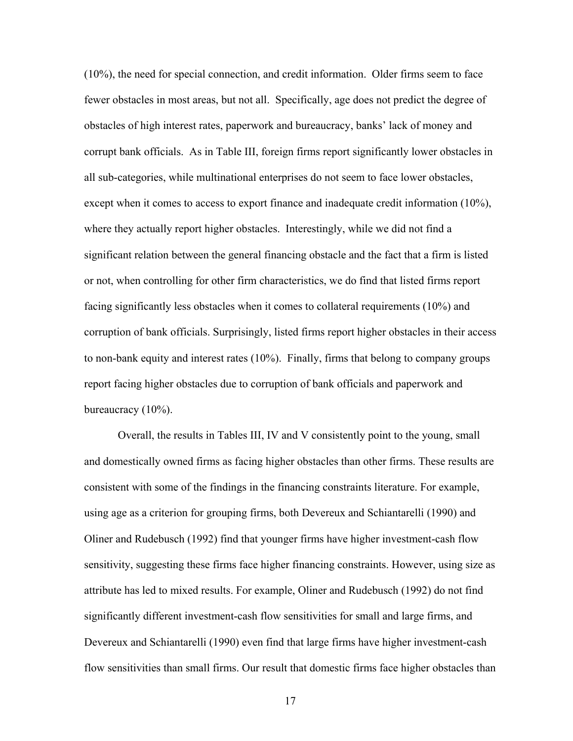(10%), the need for special connection, and credit information. Older firms seem to face fewer obstacles in most areas, but not all. Specifically, age does not predict the degree of obstacles of high interest rates, paperwork and bureaucracy, banks' lack of money and corrupt bank officials. As in Table III, foreign firms report significantly lower obstacles in all sub-categories, while multinational enterprises do not seem to face lower obstacles, except when it comes to access to export finance and inadequate credit information (10%), where they actually report higher obstacles. Interestingly, while we did not find a significant relation between the general financing obstacle and the fact that a firm is listed or not, when controlling for other firm characteristics, we do find that listed firms report facing significantly less obstacles when it comes to collateral requirements (10%) and corruption of bank officials. Surprisingly, listed firms report higher obstacles in their access to non-bank equity and interest rates (10%). Finally, firms that belong to company groups report facing higher obstacles due to corruption of bank officials and paperwork and bureaucracy (10%).

Overall, the results in Tables III, IV and V consistently point to the young, small and domestically owned firms as facing higher obstacles than other firms. These results are consistent with some of the findings in the financing constraints literature. For example, using age as a criterion for grouping firms, both Devereux and Schiantarelli (1990) and Oliner and Rudebusch (1992) find that younger firms have higher investment-cash flow sensitivity, suggesting these firms face higher financing constraints. However, using size as attribute has led to mixed results. For example, Oliner and Rudebusch (1992) do not find significantly different investment-cash flow sensitivities for small and large firms, and Devereux and Schiantarelli (1990) even find that large firms have higher investment-cash flow sensitivities than small firms. Our result that domestic firms face higher obstacles than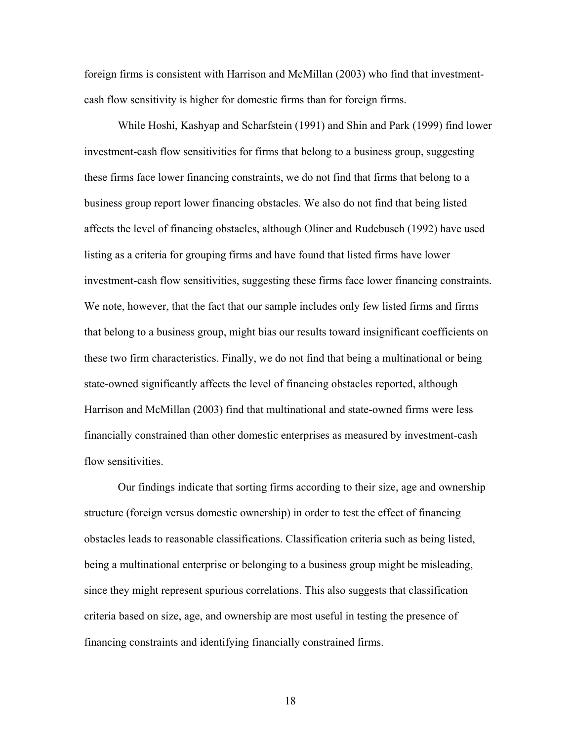foreign firms is consistent with Harrison and McMillan (2003) who find that investmentcash flow sensitivity is higher for domestic firms than for foreign firms.

While Hoshi, Kashyap and Scharfstein (1991) and Shin and Park (1999) find lower investment-cash flow sensitivities for firms that belong to a business group, suggesting these firms face lower financing constraints, we do not find that firms that belong to a business group report lower financing obstacles. We also do not find that being listed affects the level of financing obstacles, although Oliner and Rudebusch (1992) have used listing as a criteria for grouping firms and have found that listed firms have lower investment-cash flow sensitivities, suggesting these firms face lower financing constraints. We note, however, that the fact that our sample includes only few listed firms and firms that belong to a business group, might bias our results toward insignificant coefficients on these two firm characteristics. Finally, we do not find that being a multinational or being state-owned significantly affects the level of financing obstacles reported, although Harrison and McMillan (2003) find that multinational and state-owned firms were less financially constrained than other domestic enterprises as measured by investment-cash flow sensitivities.

Our findings indicate that sorting firms according to their size, age and ownership structure (foreign versus domestic ownership) in order to test the effect of financing obstacles leads to reasonable classifications. Classification criteria such as being listed, being a multinational enterprise or belonging to a business group might be misleading, since they might represent spurious correlations. This also suggests that classification criteria based on size, age, and ownership are most useful in testing the presence of financing constraints and identifying financially constrained firms.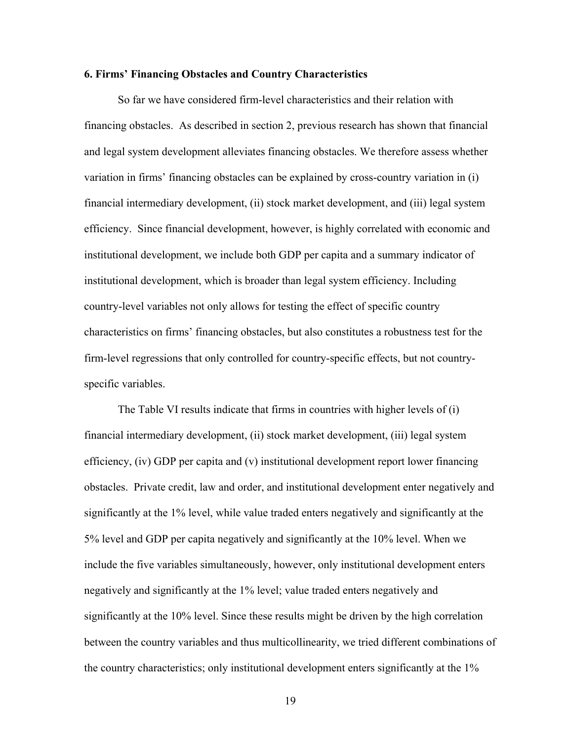# **6. Firms' Financing Obstacles and Country Characteristics**

So far we have considered firm-level characteristics and their relation with financing obstacles. As described in section 2, previous research has shown that financial and legal system development alleviates financing obstacles. We therefore assess whether variation in firms' financing obstacles can be explained by cross-country variation in (i) financial intermediary development, (ii) stock market development, and (iii) legal system efficiency. Since financial development, however, is highly correlated with economic and institutional development, we include both GDP per capita and a summary indicator of institutional development, which is broader than legal system efficiency. Including country-level variables not only allows for testing the effect of specific country characteristics on firms' financing obstacles, but also constitutes a robustness test for the firm-level regressions that only controlled for country-specific effects, but not countryspecific variables.

The Table VI results indicate that firms in countries with higher levels of (i) financial intermediary development, (ii) stock market development, (iii) legal system efficiency, (iv) GDP per capita and (v) institutional development report lower financing obstacles. Private credit, law and order, and institutional development enter negatively and significantly at the 1% level, while value traded enters negatively and significantly at the 5% level and GDP per capita negatively and significantly at the 10% level. When we include the five variables simultaneously, however, only institutional development enters negatively and significantly at the 1% level; value traded enters negatively and significantly at the 10% level. Since these results might be driven by the high correlation between the country variables and thus multicollinearity, we tried different combinations of the country characteristics; only institutional development enters significantly at the 1%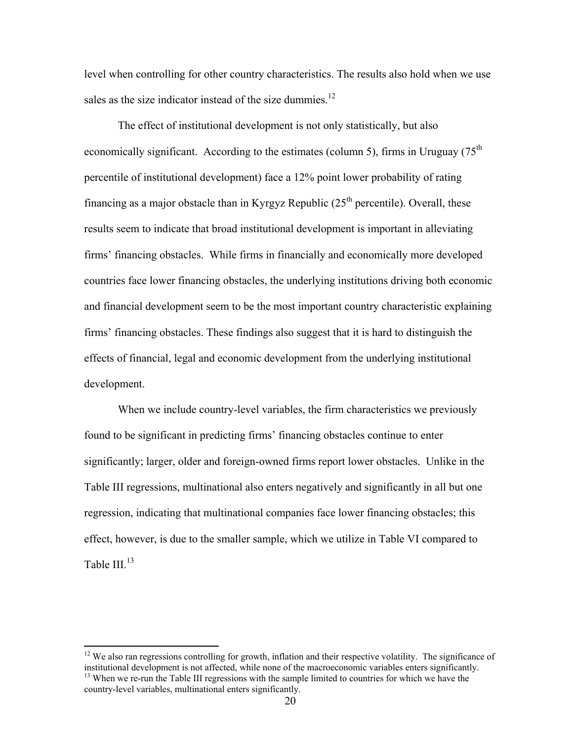level when controlling for other country characteristics. The results also hold when we use sales as the size indicator instead of the size dummies. $^{12}$ 

The effect of institutional development is not only statistically, but also economically significant. According to the estimates (column 5), firms in Uruguay  $(75<sup>th</sup>$ percentile of institutional development) face a 12% point lower probability of rating financing as a major obstacle than in Kyrgyz Republic  $(25<sup>th</sup>$  percentile). Overall, these results seem to indicate that broad institutional development is important in alleviating firms' financing obstacles. While firms in financially and economically more developed countries face lower financing obstacles, the underlying institutions driving both economic and financial development seem to be the most important country characteristic explaining firms' financing obstacles. These findings also suggest that it is hard to distinguish the effects of financial, legal and economic development from the underlying institutional development.

When we include country-level variables, the firm characteristics we previously found to be significant in predicting firms' financing obstacles continue to enter significantly; larger, older and foreign-owned firms report lower obstacles. Unlike in the Table III regressions, multinational also enters negatively and significantly in all but one regression, indicating that multinational companies face lower financing obstacles; this effect, however, is due to the smaller sample, which we utilize in Table VI compared to Table III $^{13}$ 

 $12$  We also ran regressions controlling for growth, inflation and their respective volatility. The significance of institutional development is not affected, while none of the macroeconomic variables enters significantly. 13 When we re-run the Table III regressions with the sample limited to countries for which we have the country-level variables, multinational enters significantly.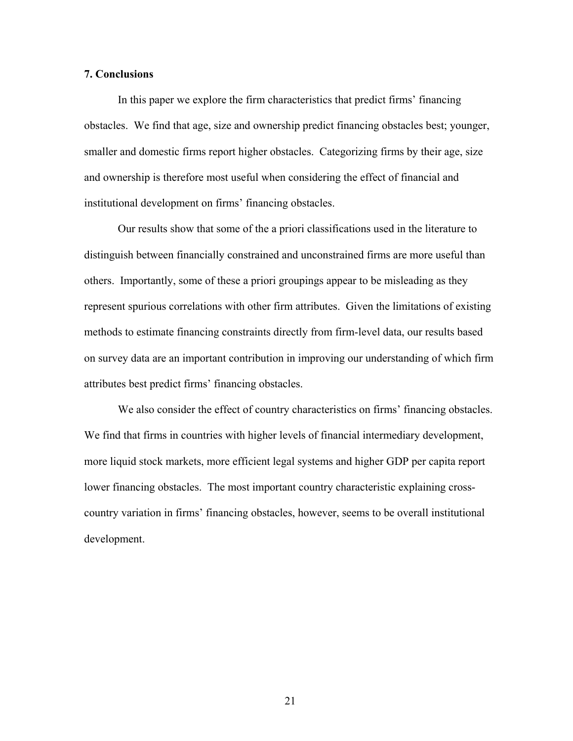#### **7. Conclusions**

In this paper we explore the firm characteristics that predict firms' financing obstacles. We find that age, size and ownership predict financing obstacles best; younger, smaller and domestic firms report higher obstacles. Categorizing firms by their age, size and ownership is therefore most useful when considering the effect of financial and institutional development on firms' financing obstacles.

Our results show that some of the a priori classifications used in the literature to distinguish between financially constrained and unconstrained firms are more useful than others. Importantly, some of these a priori groupings appear to be misleading as they represent spurious correlations with other firm attributes. Given the limitations of existing methods to estimate financing constraints directly from firm-level data, our results based on survey data are an important contribution in improving our understanding of which firm attributes best predict firms' financing obstacles.

We also consider the effect of country characteristics on firms' financing obstacles. We find that firms in countries with higher levels of financial intermediary development, more liquid stock markets, more efficient legal systems and higher GDP per capita report lower financing obstacles. The most important country characteristic explaining crosscountry variation in firms' financing obstacles, however, seems to be overall institutional development.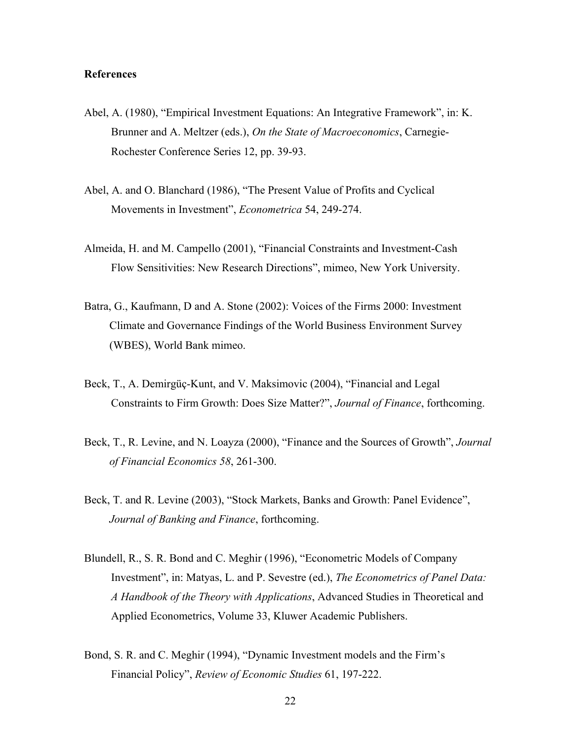#### **References**

- Abel, A. (1980), "Empirical Investment Equations: An Integrative Framework", in: K. Brunner and A. Meltzer (eds.), *On the State of Macroeconomics*, Carnegie-Rochester Conference Series 12, pp. 39-93.
- Abel, A. and O. Blanchard (1986), "The Present Value of Profits and Cyclical Movements in Investment", *Econometrica* 54, 249-274.
- Almeida, H. and M. Campello (2001), "Financial Constraints and Investment-Cash Flow Sensitivities: New Research Directions", mimeo, New York University.
- Batra, G., Kaufmann, D and A. Stone (2002): Voices of the Firms 2000: Investment Climate and Governance Findings of the World Business Environment Survey (WBES), World Bank mimeo.
- Beck, T., A. Demirgüç-Kunt, and V. Maksimovic (2004), "Financial and Legal Constraints to Firm Growth: Does Size Matter?", *Journal of Finance*, forthcoming.
- Beck, T., R. Levine, and N. Loayza (2000), "Finance and the Sources of Growth", *Journal of Financial Economics 58*, 261-300.
- Beck, T. and R. Levine (2003), "Stock Markets, Banks and Growth: Panel Evidence", *Journal of Banking and Finance*, forthcoming.
- Blundell, R., S. R. Bond and C. Meghir (1996), "Econometric Models of Company Investment", in: Matyas, L. and P. Sevestre (ed.), *The Econometrics of Panel Data: A Handbook of the Theory with Applications*, Advanced Studies in Theoretical and Applied Econometrics, Volume 33, Kluwer Academic Publishers.
- Bond, S. R. and C. Meghir (1994), "Dynamic Investment models and the Firm's Financial Policy", *Review of Economic Studies* 61, 197-222.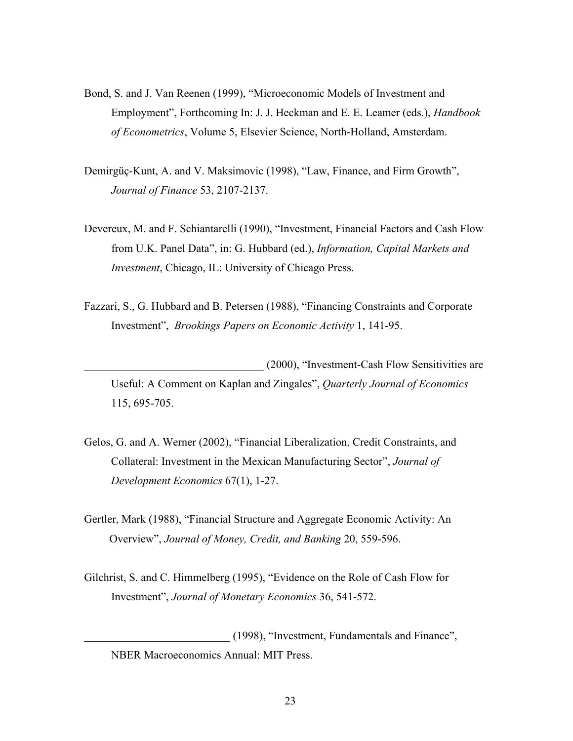- Bond, S. and J. Van Reenen (1999), "Microeconomic Models of Investment and Employment", Forthcoming In: J. J. Heckman and E. E. Leamer (eds.), *Handbook of Econometrics*, Volume 5, Elsevier Science, North-Holland, Amsterdam.
- Demirgüç-Kunt, A. and V. Maksimovic (1998), "Law, Finance, and Firm Growth", *Journal of Finance* 53, 2107-2137.
- Devereux, M. and F. Schiantarelli (1990), "Investment, Financial Factors and Cash Flow from U.K. Panel Data", in: G. Hubbard (ed.), *Information, Capital Markets and Investment*, Chicago, IL: University of Chicago Press.
- Fazzari, S., G. Hubbard and B. Petersen (1988), "Financing Constraints and Corporate Investment", *Brookings Papers on Economic Activity* 1, 141-95.

\_\_\_\_\_\_\_\_\_\_\_\_\_\_\_\_\_\_\_\_\_\_\_\_\_\_\_\_\_\_\_\_ (2000), "Investment-Cash Flow Sensitivities are Useful: A Comment on Kaplan and Zingales", *Quarterly Journal of Economics*  115, 695-705.

- Gelos, G. and A. Werner (2002), "Financial Liberalization, Credit Constraints, and Collateral: Investment in the Mexican Manufacturing Sector", *Journal of Development Economics* 67(1), 1-27.
- Gertler, Mark (1988), "Financial Structure and Aggregate Economic Activity: An Overview", *Journal of Money, Credit, and Banking* 20, 559-596.
- Gilchrist, S. and C. Himmelberg (1995), "Evidence on the Role of Cash Flow for Investment", *Journal of Monetary Economics* 36, 541-572.

\_\_\_\_\_\_\_\_\_\_\_\_\_\_\_\_\_\_\_\_\_\_\_\_\_\_ (1998), "Investment, Fundamentals and Finance", NBER Macroeconomics Annual: MIT Press.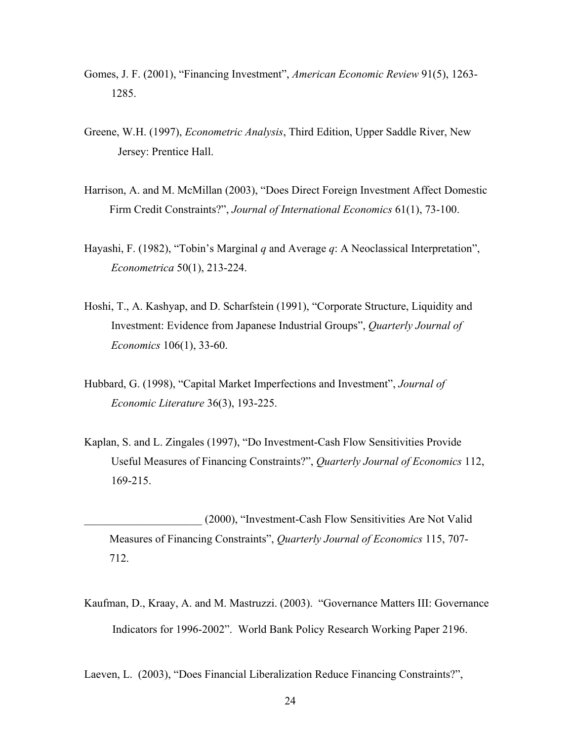- Gomes, J. F. (2001), "Financing Investment", *American Economic Review* 91(5), 1263- 1285.
- Greene, W.H. (1997), *Econometric Analysis*, Third Edition, Upper Saddle River, New Jersey: Prentice Hall.
- Harrison, A. and M. McMillan (2003), "Does Direct Foreign Investment Affect Domestic Firm Credit Constraints?", *Journal of International Economics* 61(1), 73-100.
- Hayashi, F. (1982), "Tobin's Marginal *q* and Average *q*: A Neoclassical Interpretation", *Econometrica* 50(1), 213-224.
- Hoshi, T., A. Kashyap, and D. Scharfstein (1991), "Corporate Structure, Liquidity and Investment: Evidence from Japanese Industrial Groups", *Quarterly Journal of Economics* 106(1), 33-60.
- Hubbard, G. (1998), "Capital Market Imperfections and Investment", *Journal of Economic Literature* 36(3), 193-225.
- Kaplan, S. and L. Zingales (1997), "Do Investment-Cash Flow Sensitivities Provide Useful Measures of Financing Constraints?", *Quarterly Journal of Economics* 112, 169-215.
	- \_\_\_\_\_\_\_\_\_\_\_\_\_\_\_\_\_\_\_\_\_ (2000), "Investment-Cash Flow Sensitivities Are Not Valid Measures of Financing Constraints", *Quarterly Journal of Economics* 115, 707- 712.
- Kaufman, D., Kraay, A. and M. Mastruzzi. (2003). "Governance Matters III: Governance Indicators for 1996-2002". World Bank Policy Research Working Paper 2196.

Laeven, L. (2003), "Does Financial Liberalization Reduce Financing Constraints?",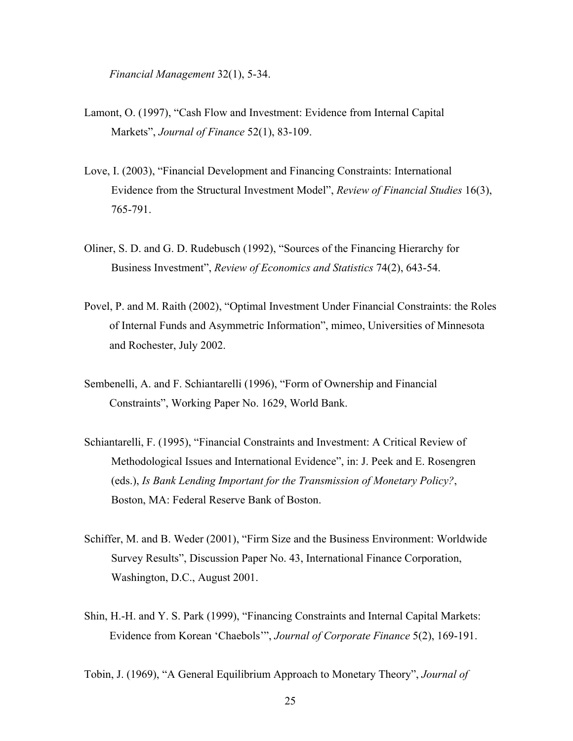*Financial Management* 32(1), 5-34.

- Lamont, O. (1997), "Cash Flow and Investment: Evidence from Internal Capital Markets", *Journal of Finance* 52(1), 83-109.
- Love, I. (2003), "Financial Development and Financing Constraints: International Evidence from the Structural Investment Model", *Review of Financial Studies* 16(3), 765-791.
- Oliner, S. D. and G. D. Rudebusch (1992), "Sources of the Financing Hierarchy for Business Investment", *Review of Economics and Statistics* 74(2), 643-54.
- Povel, P. and M. Raith (2002), "Optimal Investment Under Financial Constraints: the Roles of Internal Funds and Asymmetric Information", mimeo, Universities of Minnesota and Rochester, July 2002.
- Sembenelli, A. and F. Schiantarelli (1996), "Form of Ownership and Financial Constraints", Working Paper No. 1629, World Bank.
- Schiantarelli, F. (1995), "Financial Constraints and Investment: A Critical Review of Methodological Issues and International Evidence", in: J. Peek and E. Rosengren (eds.), *Is Bank Lending Important for the Transmission of Monetary Policy?*, Boston, MA: Federal Reserve Bank of Boston.
- Schiffer, M. and B. Weder (2001), "Firm Size and the Business Environment: Worldwide Survey Results", Discussion Paper No. 43, International Finance Corporation, Washington, D.C., August 2001.
- Shin, H.-H. and Y. S. Park (1999), "Financing Constraints and Internal Capital Markets: Evidence from Korean 'Chaebols'", *Journal of Corporate Finance* 5(2), 169-191.

Tobin, J. (1969), "A General Equilibrium Approach to Monetary Theory", *Journal of*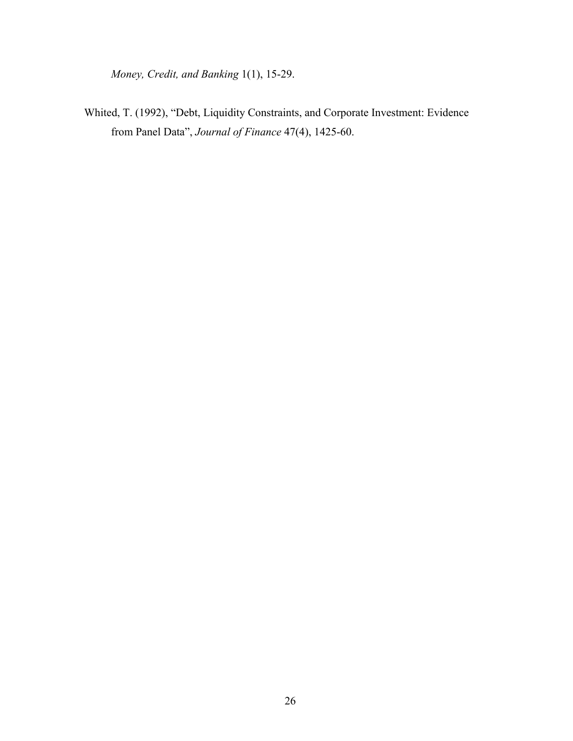*Money, Credit, and Banking* 1(1), 15-29.

Whited, T. (1992), "Debt, Liquidity Constraints, and Corporate Investment: Evidence from Panel Data", *Journal of Finance* 47(4), 1425-60.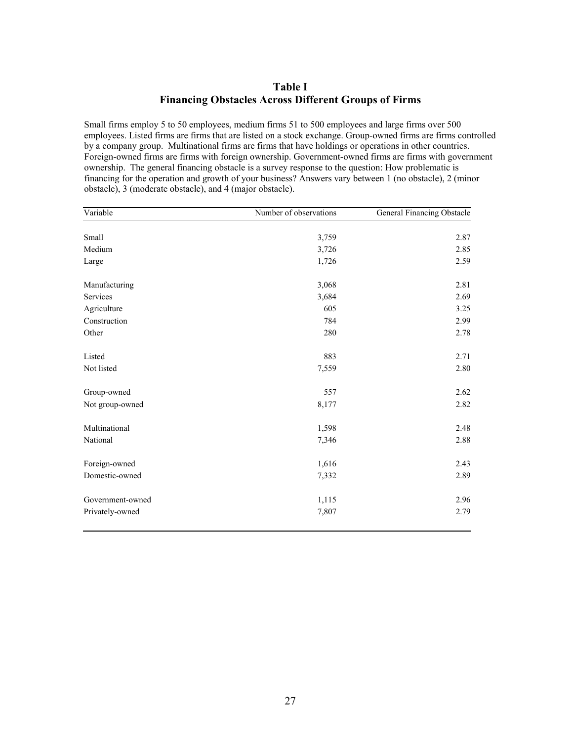# **Table I Financing Obstacles Across Different Groups of Firms**

Small firms employ 5 to 50 employees, medium firms 51 to 500 employees and large firms over 500 employees. Listed firms are firms that are listed on a stock exchange. Group-owned firms are firms controlled by a company group. Multinational firms are firms that have holdings or operations in other countries. Foreign-owned firms are firms with foreign ownership. Government-owned firms are firms with government ownership. The general financing obstacle is a survey response to the question: How problematic is financing for the operation and growth of your business? Answers vary between 1 (no obstacle), 2 (minor obstacle), 3 (moderate obstacle), and 4 (major obstacle).

| Variable         | Number of observations | General Financing Obstacle |
|------------------|------------------------|----------------------------|
|                  |                        |                            |
| Small            | 3,759                  | 2.87                       |
| Medium           | 3,726                  | 2.85                       |
| Large            | 1,726                  | 2.59                       |
| Manufacturing    | 3,068                  | 2.81                       |
| Services         | 3,684                  | 2.69                       |
| Agriculture      | 605                    | 3.25                       |
| Construction     | 784                    | 2.99                       |
| Other            | 280                    | 2.78                       |
| Listed           | 883                    | 2.71                       |
| Not listed       | 7,559                  | 2.80                       |
| Group-owned      | 557                    | 2.62                       |
| Not group-owned  | 8,177                  | 2.82                       |
| Multinational    | 1,598                  | 2.48                       |
| National         | 7,346                  | 2.88                       |
| Foreign-owned    | 1,616                  | 2.43                       |
| Domestic-owned   | 7,332                  | 2.89                       |
| Government-owned | 1,115                  | 2.96                       |
| Privately-owned  | 7,807                  | 2.79                       |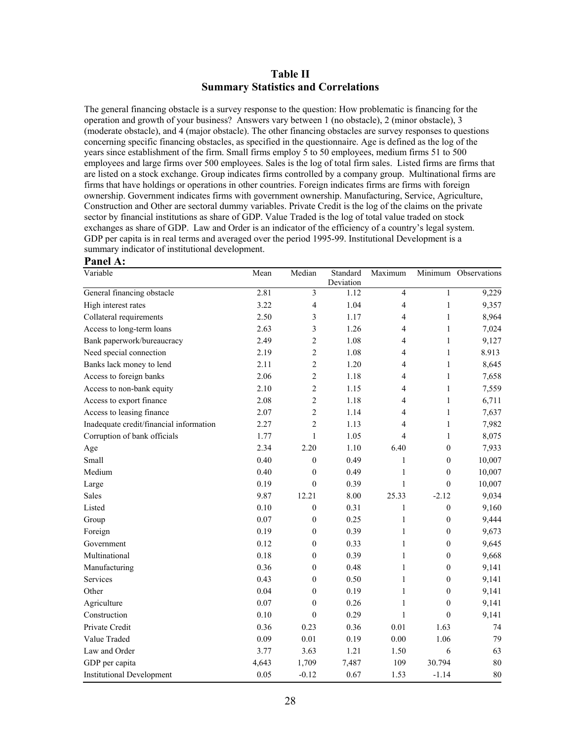#### **Table II Summary Statistics and Correlations**

The general financing obstacle is a survey response to the question: How problematic is financing for the operation and growth of your business? Answers vary between 1 (no obstacle), 2 (minor obstacle), 3 (moderate obstacle), and 4 (major obstacle). The other financing obstacles are survey responses to questions concerning specific financing obstacles, as specified in the questionnaire. Age is defined as the log of the years since establishment of the firm. Small firms employ 5 to 50 employees, medium firms 51 to 500 employees and large firms over 500 employees. Sales is the log of total firm sales. Listed firms are firms that are listed on a stock exchange. Group indicates firms controlled by a company group. Multinational firms are firms that have holdings or operations in other countries. Foreign indicates firms are firms with foreign ownership. Government indicates firms with government ownership. Manufacturing, Service, Agriculture, Construction and Other are sectoral dummy variables. Private Credit is the log of the claims on the private sector by financial institutions as share of GDP. Value Traded is the log of total value traded on stock exchanges as share of GDP. Law and Order is an indicator of the efficiency of a country's legal system. GDP per capita is in real terms and averaged over the period 1995-99. Institutional Development is a summary indicator of institutional development.

| Variable                                | Mean  | Median           | Standard<br>Deviation | Maximum        |                  | Minimum Observations |
|-----------------------------------------|-------|------------------|-----------------------|----------------|------------------|----------------------|
| General financing obstacle              | 2.81  | 3                | 1.12                  | 4              | 1                | 9,229                |
| High interest rates                     | 3.22  | 4                | 1.04                  | 4              | $\mathbf{1}$     | 9,357                |
| Collateral requirements                 | 2.50  | 3                | 1.17                  | 4              | $\mathbf{1}$     | 8,964                |
| Access to long-term loans               | 2.63  | 3                | 1.26                  | 4              | $\mathbf{1}$     | 7,024                |
| Bank paperwork/bureaucracy              | 2.49  | $\overline{c}$   | 1.08                  | 4              | $\mathbf{1}$     | 9,127                |
| Need special connection                 | 2.19  | $\overline{c}$   | 1.08                  | 4              | $\mathbf{1}$     | 8.913                |
| Banks lack money to lend                | 2.11  | $\overline{c}$   | 1.20                  | 4              | $\mathbf{1}$     | 8,645                |
| Access to foreign banks                 | 2.06  | $\overline{c}$   | 1.18                  | 4              | 1                | 7,658                |
| Access to non-bank equity               | 2.10  | $\overline{c}$   | 1.15                  | 4              | $\mathbf{1}$     | 7,559                |
| Access to export finance                | 2.08  | $\overline{c}$   | 1.18                  | 4              | 1                | 6,711                |
| Access to leasing finance               | 2.07  | $\overline{c}$   | 1.14                  | 4              | $\mathbf{1}$     | 7,637                |
| Inadequate credit/financial information | 2.27  | $\overline{c}$   | 1.13                  | 4              | $\mathbf{1}$     | 7,982                |
| Corruption of bank officials            | 1.77  | $\mathbf{1}$     | 1.05                  | $\overline{4}$ | $\mathbf{1}$     | 8,075                |
| Age                                     | 2.34  | 2.20             | 1.10                  | 6.40           | $\boldsymbol{0}$ | 7,933                |
| Small                                   | 0.40  | $\mathbf{0}$     | 0.49                  | 1              | 0                | 10,007               |
| Medium                                  | 0.40  | $\boldsymbol{0}$ | 0.49                  | 1              | $\overline{0}$   | 10,007               |
| Large                                   | 0.19  | $\mathbf{0}$     | 0.39                  | 1              | $\theta$         | 10,007               |
| Sales                                   | 9.87  | 12.21            | 8.00                  | 25.33          | $-2.12$          | 9,034                |
| Listed                                  | 0.10  | $\boldsymbol{0}$ | 0.31                  | 1              | $\boldsymbol{0}$ | 9,160                |
| Group                                   | 0.07  | $\boldsymbol{0}$ | 0.25                  | 1              | $\boldsymbol{0}$ | 9,444                |
| Foreign                                 | 0.19  | $\boldsymbol{0}$ | 0.39                  | 1              | $\boldsymbol{0}$ | 9,673                |
| Government                              | 0.12  | $\boldsymbol{0}$ | 0.33                  | 1              | 0                | 9,645                |
| Multinational                           | 0.18  | $\boldsymbol{0}$ | 0.39                  | 1              | $\boldsymbol{0}$ | 9,668                |
| Manufacturing                           | 0.36  | $\mathbf{0}$     | 0.48                  | 1              | $\overline{0}$   | 9,141                |
| Services                                | 0.43  | $\boldsymbol{0}$ | 0.50                  | 1              | $\overline{0}$   | 9,141                |
| Other                                   | 0.04  | $\boldsymbol{0}$ | 0.19                  | 1              | $\boldsymbol{0}$ | 9,141                |
| Agriculture                             | 0.07  | $\mathbf{0}$     | 0.26                  | 1              | $\overline{0}$   | 9,141                |
| Construction                            | 0.10  | $\mathbf{0}$     | 0.29                  | 1              | $\overline{0}$   | 9,141                |
| Private Credit                          | 0.36  | 0.23             | 0.36                  | 0.01           | 1.63             | 74                   |
| Value Traded                            | 0.09  | 0.01             | 0.19                  | $0.00\,$       | 1.06             | 79                   |
| Law and Order                           | 3.77  | 3.63             | 1.21                  | 1.50           | 6                | 63                   |
| GDP per capita                          | 4,643 | 1,709            | 7,487                 | 109            | 30.794           | 80                   |
| <b>Institutional Development</b>        | 0.05  | $-0.12$          | 0.67                  | 1.53           | $-1.14$          | 80                   |

**Panel A:**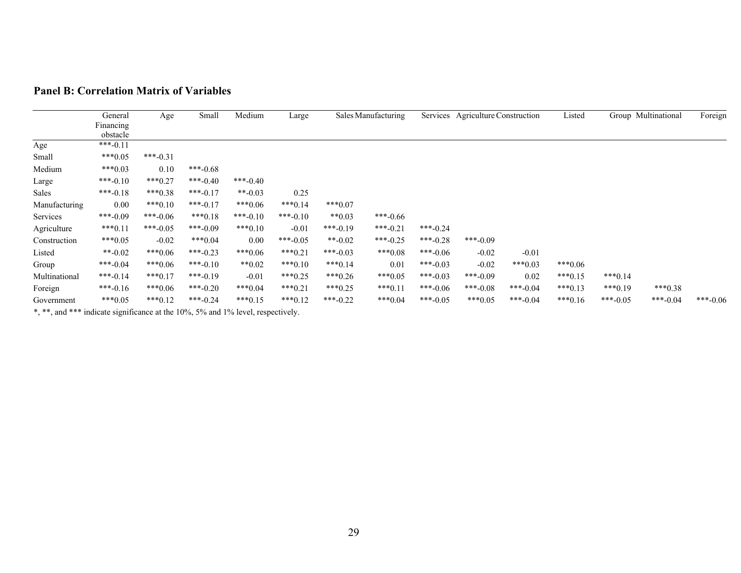|               | General    | Age        | Small      | Medium    | Large      |            | Sales Manufacturing |          | Services Agriculture Construction |           | Listed    |           | Group Multinational | Foreign    |
|---------------|------------|------------|------------|-----------|------------|------------|---------------------|----------|-----------------------------------|-----------|-----------|-----------|---------------------|------------|
|               | Financing  |            |            |           |            |            |                     |          |                                   |           |           |           |                     |            |
|               | obstacle   |            |            |           |            |            |                     |          |                                   |           |           |           |                     |            |
| Age           | $***-0.11$ |            |            |           |            |            |                     |          |                                   |           |           |           |                     |            |
| Small         | $***0.05$  | $***-0.31$ |            |           |            |            |                     |          |                                   |           |           |           |                     |            |
| Medium        | $***0.03$  | 0.10       | ***-0.68   |           |            |            |                     |          |                                   |           |           |           |                     |            |
| Large         | $***-0.10$ | $***0.27$  | $***-0.40$ | ***-0.40  |            |            |                     |          |                                   |           |           |           |                     |            |
| Sales         | $***-0.18$ | $***0.38$  | $***-0.17$ | **-0.03   | 0.25       |            |                     |          |                                   |           |           |           |                     |            |
| Manufacturing | 0.00       | $***0.10$  | $***-0.17$ | $***0.06$ | $***0.14$  | $***0.07$  |                     |          |                                   |           |           |           |                     |            |
| Services      | ***-0.09   | $***-0.06$ | $***0.18$  | ***-0.10  | $***-0.10$ | $**0.03$   | $***-0.66$          |          |                                   |           |           |           |                     |            |
| Agriculture   | $***0.11$  | ***-0.05   | ***-0.09   | $***0.10$ | $-0.01$    | $***-0.19$ | $***-0.21$          | ***-0.24 |                                   |           |           |           |                     |            |
| Construction  | $***0.05$  | $-0.02$    | $***0.04$  | 0.00      | $***-0.05$ | $**-0.02$  | ***-0.25            | ***-0.28 | ***-0.09                          |           |           |           |                     |            |
| Listed        | $**-0.02$  | $***0.06$  | $***-0.23$ | $***0.06$ | $***0.21$  | ***-0.03   | $***0.08$           | ***-0.06 | $-0.02$                           | $-0.01$   |           |           |                     |            |
| Group         | ***-0.04   | $***0.06$  | $***-0.10$ | $**0.02$  | $***0.10$  | $***0.14$  | 0.01                | ***-0.03 | $-0.02$                           | $***0.03$ | $***0.06$ |           |                     |            |
| Multinational | $***-0.14$ | $***0.17$  | $***-0.19$ | $-0.01$   | $***0.25$  | $***0.26$  | $***0.05$           | ***-0.03 | ***-0.09                          | 0.02      | $***0.15$ | $***0.14$ |                     |            |
| Foreign       | $***-0.16$ | $***0.06$  | ***-0.20   | $***0.04$ | $***0.21$  | $***0.25$  | $***0.11$           | ***-0.06 | $***-0.08$                        | ***-0.04  | $***0.13$ | $***0.19$ | $***0.38$           |            |
| Government    | $***0.05$  | $***0.12$  | $***-0.24$ | $***0.15$ | $***0.12$  | $***-0.22$ | $***0.04$           | ***-0.05 | $***0.05$                         | ***-0.04  | $***0.16$ | ***-0.05  | $***-0.04$          | $***-0.06$ |

#### **Panel B: Correlation Matrix of Variables**

\*, \*\*, and \*\*\* indicate significance at the 10%, 5% and 1% level, respectively.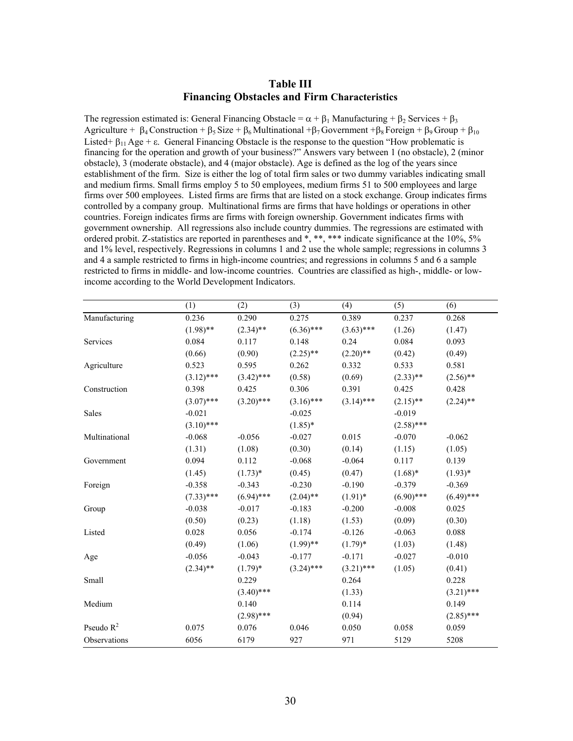#### **Table III Financing Obstacles and Firm Characteristics**

The regression estimated is: General Financing Obstacle =  $\alpha + \beta_1$  Manufacturing +  $\beta_2$  Services +  $\beta_3$ Agriculture +  $\beta_4$  Construction +  $\beta_5$  Size +  $\beta_6$  Multinational + $\beta_7$  Government +  $\beta_8$  Foreign +  $\beta_9$  Group +  $\beta_{10}$ Listed+  $\beta_{11}$  Age +  $\varepsilon$ . General Financing Obstacle is the response to the question "How problematic is financing for the operation and growth of your business?" Answers vary between 1 (no obstacle), 2 (minor obstacle), 3 (moderate obstacle), and 4 (major obstacle). Age is defined as the log of the years since establishment of the firm. Size is either the log of total firm sales or two dummy variables indicating small and medium firms. Small firms employ 5 to 50 employees, medium firms 51 to 500 employees and large firms over 500 employees. Listed firms are firms that are listed on a stock exchange. Group indicates firms controlled by a company group. Multinational firms are firms that have holdings or operations in other countries. Foreign indicates firms are firms with foreign ownership. Government indicates firms with government ownership. All regressions also include country dummies. The regressions are estimated with ordered probit. Z-statistics are reported in parentheses and  $*, **$ , \*\*\* indicate significance at the 10%, 5% and 1% level, respectively. Regressions in columns 1 and 2 use the whole sample; regressions in columns 3 and 4 a sample restricted to firms in high-income countries; and regressions in columns 5 and 6 a sample restricted to firms in middle- and low-income countries. Countries are classified as high-, middle- or lowincome according to the World Development Indicators.

|               | (1)          | (2)          | (3)          | (4)          | (5)          | (6)          |
|---------------|--------------|--------------|--------------|--------------|--------------|--------------|
| Manufacturing | 0.236        | 0.290        | 0.275        | 0.389        | 0.237        | 0.268        |
|               | $(1.98)$ **  | $(2.34)$ **  | $(6.36)$ *** | $(3.63)$ *** | (1.26)       | (1.47)       |
| Services      | 0.084        | 0.117        | 0.148        | 0.24         | 0.084        | 0.093        |
|               | (0.66)       | (0.90)       | $(2.25)$ **  | $(2.20)$ **  | (0.42)       | (0.49)       |
| Agriculture   | 0.523        | 0.595        | 0.262        | 0.332        | 0.533        | 0.581        |
|               | $(3.12)$ *** | $(3.42)$ *** | (0.58)       | (0.69)       | $(2.33)$ **  | $(2.56)$ **  |
| Construction  | 0.398        | 0.425        | 0.306        | 0.391        | 0.425        | 0.428        |
|               | $(3.07)$ *** | $(3.20)$ *** | $(3.16)$ *** | $(3.14)$ *** | $(2.15)$ **  | $(2.24)$ **  |
| Sales         | $-0.021$     |              | $-0.025$     |              | $-0.019$     |              |
|               | $(3.10)$ *** |              | $(1.85)*$    |              | $(2.58)$ *** |              |
| Multinational | $-0.068$     | $-0.056$     | $-0.027$     | 0.015        | $-0.070$     | $-0.062$     |
|               | (1.31)       | (1.08)       | (0.30)       | (0.14)       | (1.15)       | (1.05)       |
| Government    | 0.094        | 0.112        | $-0.068$     | $-0.064$     | 0.117        | 0.139        |
|               | (1.45)       | $(1.73)*$    | (0.45)       | (0.47)       | $(1.68)$ *   | $(1.93)*$    |
| Foreign       | $-0.358$     | $-0.343$     | $-0.230$     | $-0.190$     | $-0.379$     | $-0.369$     |
|               | $(7.33)$ *** | $(6.94)$ *** | $(2.04)$ **  | $(1.91)$ *   | $(6.90)$ *** | $(6.49)$ *** |
| Group         | $-0.038$     | $-0.017$     | $-0.183$     | $-0.200$     | $-0.008$     | 0.025        |
|               | (0.50)       | (0.23)       | (1.18)       | (1.53)       | (0.09)       | (0.30)       |
| Listed        | 0.028        | 0.056        | $-0.174$     | $-0.126$     | $-0.063$     | 0.088        |
|               | (0.49)       | (1.06)       | $(1.99)$ **  | $(1.79)*$    | (1.03)       | (1.48)       |
| Age           | $-0.056$     | $-0.043$     | $-0.177$     | $-0.171$     | $-0.027$     | $-0.010$     |
|               | $(2.34)$ **  | $(1.79)^*$   | $(3.24)$ *** | $(3.21)$ *** | (1.05)       | (0.41)       |
| Small         |              | 0.229        |              | 0.264        |              | 0.228        |
|               |              | $(3.40)$ *** |              | (1.33)       |              | $(3.21)$ *** |
| Medium        |              | 0.140        |              | 0.114        |              | 0.149        |
|               |              | $(2.98)$ *** |              | (0.94)       |              | $(2.85)$ *** |
| Pseudo $R^2$  | 0.075        | 0.076        | 0.046        | 0.050        | 0.058        | 0.059        |
| Observations  | 6056         | 6179         | 927          | 971          | 5129         | 5208         |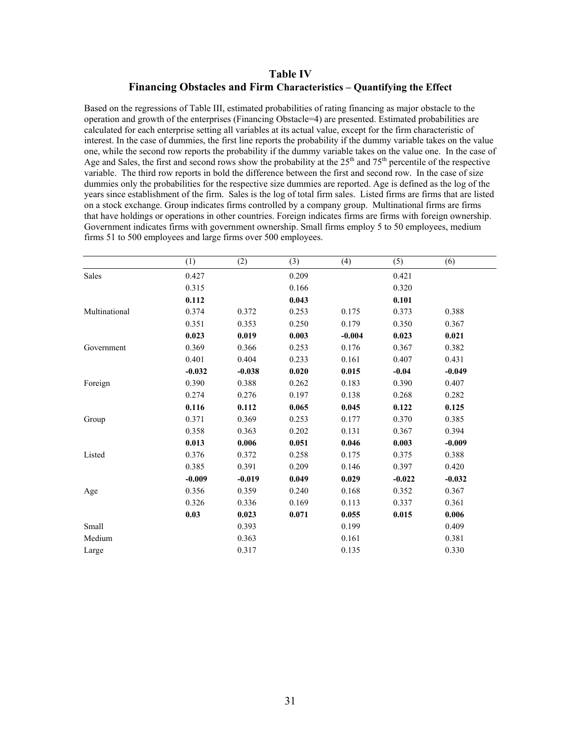# **Table IV Financing Obstacles and Firm Characteristics – Quantifying the Effect**

Based on the regressions of Table III, estimated probabilities of rating financing as major obstacle to the operation and growth of the enterprises (Financing Obstacle=4) are presented. Estimated probabilities are calculated for each enterprise setting all variables at its actual value, except for the firm characteristic of interest. In the case of dummies, the first line reports the probability if the dummy variable takes on the value one, while the second row reports the probability if the dummy variable takes on the value one. In the case of Age and Sales, the first and second rows show the probability at the  $25<sup>th</sup>$  and  $75<sup>th</sup>$  percentile of the respective variable. The third row reports in bold the difference between the first and second row. In the case of size dummies only the probabilities for the respective size dummies are reported. Age is defined as the log of the years since establishment of the firm. Sales is the log of total firm sales. Listed firms are firms that are listed on a stock exchange. Group indicates firms controlled by a company group. Multinational firms are firms that have holdings or operations in other countries. Foreign indicates firms are firms with foreign ownership. Government indicates firms with government ownership. Small firms employ 5 to 50 employees, medium firms 51 to 500 employees and large firms over 500 employees.

|               | (1)      | (2)      | (3)   | (4)      | (5)      | (6)      |
|---------------|----------|----------|-------|----------|----------|----------|
| Sales         | 0.427    |          | 0.209 |          | 0.421    |          |
|               | 0.315    |          | 0.166 |          | 0.320    |          |
|               | 0.112    |          | 0.043 |          | 0.101    |          |
| Multinational | 0.374    | 0.372    | 0.253 | 0.175    | 0.373    | 0.388    |
|               | 0.351    | 0.353    | 0.250 | 0.179    | 0.350    | 0.367    |
|               | 0.023    | 0.019    | 0.003 | $-0.004$ | 0.023    | 0.021    |
| Government    | 0.369    | 0.366    | 0.253 | 0.176    | 0.367    | 0.382    |
|               | 0.401    | 0.404    | 0.233 | 0.161    | 0.407    | 0.431    |
|               | $-0.032$ | $-0.038$ | 0.020 | 0.015    | $-0.04$  | $-0.049$ |
| Foreign       | 0.390    | 0.388    | 0.262 | 0.183    | 0.390    | 0.407    |
|               | 0.274    | 0.276    | 0.197 | 0.138    | 0.268    | 0.282    |
|               | 0.116    | 0.112    | 0.065 | 0.045    | 0.122    | 0.125    |
| Group         | 0.371    | 0.369    | 0.253 | 0.177    | 0.370    | 0.385    |
|               | 0.358    | 0.363    | 0.202 | 0.131    | 0.367    | 0.394    |
|               | 0.013    | 0.006    | 0.051 | 0.046    | 0.003    | $-0.009$ |
| Listed        | 0.376    | 0.372    | 0.258 | 0.175    | 0.375    | 0.388    |
|               | 0.385    | 0.391    | 0.209 | 0.146    | 0.397    | 0.420    |
|               | $-0.009$ | $-0.019$ | 0.049 | 0.029    | $-0.022$ | $-0.032$ |
| Age           | 0.356    | 0.359    | 0.240 | 0.168    | 0.352    | 0.367    |
|               | 0.326    | 0.336    | 0.169 | 0.113    | 0.337    | 0.361    |
|               | 0.03     | 0.023    | 0.071 | 0.055    | 0.015    | 0.006    |
| Small         |          | 0.393    |       | 0.199    |          | 0.409    |
| Medium        |          | 0.363    |       | 0.161    |          | 0.381    |
| Large         |          | 0.317    |       | 0.135    |          | 0.330    |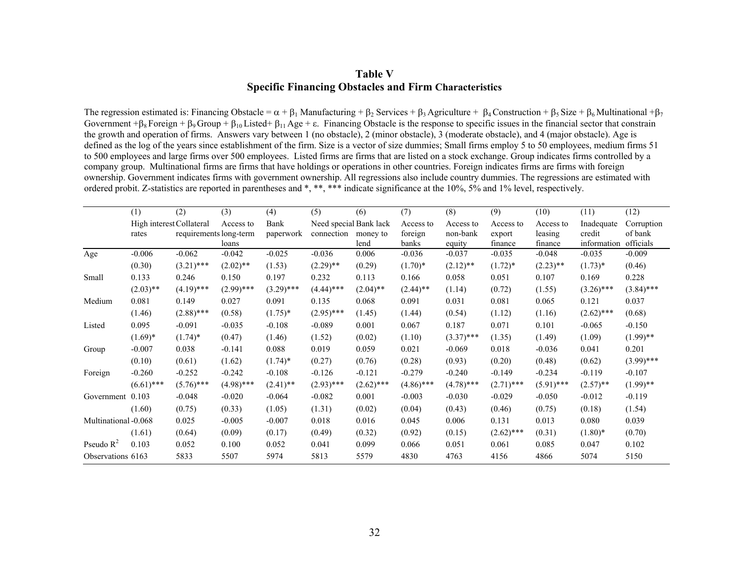# **Table V Specific Financing Obstacles and Firm Characteristics**

The regression estimated is: Financing Obstacle =  $\alpha + \beta_1$  Manufacturing +  $\beta_2$  Services +  $\beta_3$  Agriculture +  $\beta_4$  Construction +  $\beta_5$  Size +  $\beta_6$  Multinational + $\beta_7$ Government + $\beta_8$  Foreign +  $\beta_9$  Group +  $\beta_{10}$  Listed+  $\beta_{11}$  Age + ε. Financing Obstacle is the response to specific issues in the financial sector that constrain the growth and operation of firms. Answers vary between 1 (no obstacle), 2 (minor obstacle), 3 (moderate obstacle), and 4 (major obstacle). Age is defined as the log of the years since establishment of the firm. Size is a vector of size dummies; Small firms employ 5 to 50 employees, medium firms 51 to 500 employees and large firms over 500 employees. Listed firms are firms that are listed on a stock exchange. Group indicates firms controlled by a company group. Multinational firms are firms that have holdings or operations in other countries. Foreign indicates firms are firms with foreign ownership. Government indicates firms with government ownership. All regressions also include country dummies. The regressions are estimated with ordered probit. Z-statistics are reported in parentheses and \*, \*\*, \*\*\* indicate significance at the 10%, 5% and 1% level, respectively.

|                      | (1)                      | (2)                    | (3)          | (4)          | (5)                    | (6)          | (7)          | (8)          | (9)          | (10)         | (11)         | (12)         |
|----------------------|--------------------------|------------------------|--------------|--------------|------------------------|--------------|--------------|--------------|--------------|--------------|--------------|--------------|
|                      | High interest Collateral |                        | Access to    | Bank         | Need special Bank lack |              | Access to    | Access to    | Access to    | Access to    | Inadequate   | Corruption   |
|                      | rates                    | requirements long-term |              | paperwork    | connection             | money to     | foreign      | non-bank     | export       | leasing      | credit       | of bank      |
|                      |                          |                        | loans        |              |                        | lend         | banks        | equity       | finance      | finance      | information  | officials    |
| Age                  | $-0.006$                 | $-0.062$               | $-0.042$     | $-0.025$     | $-0.036$               | 0.006        | $-0.036$     | $-0.037$     | $-0.035$     | $-0.048$     | $-0.035$     | $-0.009$     |
|                      | (0.30)                   | $(3.21)$ ***           | $(2.02)$ **  | (1.53)       | $(2.29)$ **            | (0.29)       | $(1.70)^*$   | $(2.12)$ **  | $(1.72)^*$   | $(2.23)$ **  | $(1.73)^*$   | (0.46)       |
| Small                | 0.133                    | 0.246                  | 0.150        | 0.197        | 0.232                  | 0.113        | 0.166        | 0.058        | 0.051        | 0.107        | 0.169        | 0.228        |
|                      | $(2.03)$ **              | $(4.19)$ ***           | $(2.99)$ *** | $(3.29)$ *** | $(4.44)$ ***           | $(2.04)$ **  | $(2.44)$ **  | (1.14)       | (0.72)       | (1.55)       | $(3.26)$ *** | $(3.84)$ *** |
| Medium               | 0.081                    | 0.149                  | 0.027        | 0.091        | 0.135                  | 0.068        | 0.091        | 0.031        | 0.081        | 0.065        | 0.121        | 0.037        |
|                      | (1.46)                   | $(2.88)$ ***           | (0.58)       | $(1.75)^*$   | $(2.95)$ ***           | (1.45)       | (1.44)       | (0.54)       | (1.12)       | (1.16)       | $(2.62)$ *** | (0.68)       |
| Listed               | 0.095                    | $-0.091$               | $-0.035$     | $-0.108$     | $-0.089$               | 0.001        | 0.067        | 0.187        | 0.071        | 0.101        | $-0.065$     | $-0.150$     |
|                      | $(1.69)^*$               | $(1.74)^*$             | (0.47)       | (1.46)       | (1.52)                 | (0.02)       | (1.10)       | $(3.37)$ *** | (1.35)       | (1.49)       | (1.09)       | $(1.99)$ **  |
| Group                | $-0.007$                 | 0.038                  | $-0.141$     | 0.088        | 0.019                  | 0.059        | 0.021        | $-0.069$     | 0.018        | $-0.036$     | 0.041        | 0.201        |
|                      | (0.10)                   | (0.61)                 | (1.62)       | $(1.74)^*$   | (0.27)                 | (0.76)       | (0.28)       | (0.93)       | (0.20)       | (0.48)       | (0.62)       | $(3.99)$ *** |
| Foreign              | $-0.260$                 | $-0.252$               | $-0.242$     | $-0.108$     | $-0.126$               | $-0.121$     | $-0.279$     | $-0.240$     | $-0.149$     | $-0.234$     | $-0.119$     | $-0.107$     |
|                      | $(6.61)$ ***             | $(5.76)$ ***           | $(4.98)$ *** | $(2.41)$ **  | $(2.93)$ ***           | $(2.62)$ *** | $(4.86)$ *** | $(4.78)$ *** | $(2.71)$ *** | $(5.91)$ *** | $(2.57)$ **  | $(1.99)$ **  |
| Government 0.103     |                          | $-0.048$               | $-0.020$     | $-0.064$     | $-0.082$               | 0.001        | $-0.003$     | $-0.030$     | $-0.029$     | $-0.050$     | $-0.012$     | $-0.119$     |
|                      | (1.60)                   | (0.75)                 | (0.33)       | (1.05)       | (1.31)                 | (0.02)       | (0.04)       | (0.43)       | (0.46)       | (0.75)       | (0.18)       | (1.54)       |
| Multinational -0.068 |                          | 0.025                  | $-0.005$     | $-0.007$     | 0.018                  | 0.016        | 0.045        | 0.006        | 0.131        | 0.013        | 0.080        | 0.039        |
|                      | (1.61)                   | (0.64)                 | (0.09)       | (0.17)       | (0.49)                 | (0.32)       | (0.92)       | (0.15)       | $(2.62)$ *** | (0.31)       | $(1.80)$ *   | (0.70)       |
| Pseudo $R^2$         | 0.103                    | 0.052                  | 0.100        | 0.052        | 0.041                  | 0.099        | 0.066        | 0.051        | 0.061        | 0.085        | 0.047        | 0.102        |
| Observations 6163    |                          | 5833                   | 5507         | 5974         | 5813                   | 5579         | 4830         | 4763         | 4156         | 4866         | 5074         | 5150         |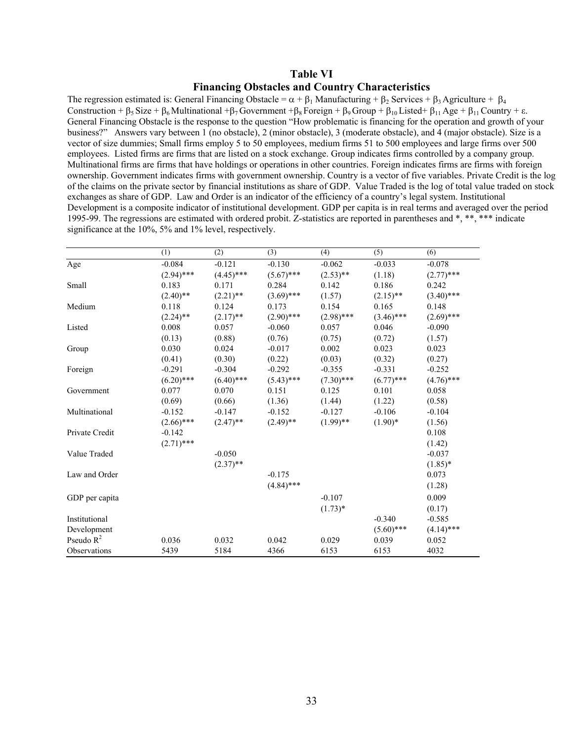# **Table VI Financing Obstacles and Country Characteristics**

The regression estimated is: General Financing Obstacle =  $\alpha + \beta_1$  Manufacturing +  $\beta_2$  Services +  $\beta_3$  Agriculture +  $\beta_4$ Construction +  $\beta_5$  Size +  $\beta_6$  Multinational + $\beta_7$  Government + $\beta_8$  Foreign +  $\beta_9$  Group +  $\beta_{10}$  Listed+  $\beta_{11}$  Age +  $\beta_{11}$  Country +  $\varepsilon$ . General Financing Obstacle is the response to the question "How problematic is financing for the operation and growth of your business?" Answers vary between 1 (no obstacle), 2 (minor obstacle), 3 (moderate obstacle), and 4 (major obstacle). Size is a vector of size dummies; Small firms employ 5 to 50 employees, medium firms 51 to 500 employees and large firms over 500 employees. Listed firms are firms that are listed on a stock exchange. Group indicates firms controlled by a company group. Multinational firms are firms that have holdings or operations in other countries. Foreign indicates firms are firms with foreign ownership. Government indicates firms with government ownership. Country is a vector of five variables. Private Credit is the log of the claims on the private sector by financial institutions as share of GDP. Value Traded is the log of total value traded on stock exchanges as share of GDP. Law and Order is an indicator of the efficiency of a country's legal system. Institutional Development is a composite indicator of institutional development. GDP per capita is in real terms and averaged over the period 1995-99. The regressions are estimated with ordered probit. Z-statistics are reported in parentheses and  $*, **$ , \*\*\* indicate significance at the 10%, 5% and 1% level, respectively.

|                | (1)          | (2)          | (3)          | (4)          | (5)          | (6)          |
|----------------|--------------|--------------|--------------|--------------|--------------|--------------|
| Age            | $-0.084$     | $-0.121$     | $-0.130$     | $-0.062$     | $-0.033$     | $-0.078$     |
|                | $(2.94)$ *** | $(4.45)$ *** | $(5.67)$ *** | $(2.53)$ **  | (1.18)       | $(2.77)$ *** |
| Small          | 0.183        | 0.171        | 0.284        | 0.142        | 0.186        | 0.242        |
|                | $(2.40)$ **  | $(2.21)$ **  | $(3.69)$ *** | (1.57)       | $(2.15)$ **  | $(3.40)$ *** |
| Medium         | 0.118        | 0.124        | 0.173        | 0.154        | 0.165        | 0.148        |
|                | $(2.24)$ **  | $(2.17)$ **  | $(2.90)$ *** | $(2.98)$ *** | $(3.46)$ *** | $(2.69)$ *** |
| Listed         | 0.008        | 0.057        | $-0.060$     | 0.057        | 0.046        | $-0.090$     |
|                | (0.13)       | (0.88)       | (0.76)       | (0.75)       | (0.72)       | (1.57)       |
| Group          | 0.030        | 0.024        | $-0.017$     | 0.002        | 0.023        | 0.023        |
|                | (0.41)       | (0.30)       | (0.22)       | (0.03)       | (0.32)       | (0.27)       |
| Foreign        | $-0.291$     | $-0.304$     | $-0.292$     | $-0.355$     | $-0.331$     | $-0.252$     |
|                | $(6.20)$ *** | $(6.40)$ *** | $(5.43)$ *** | $(7.30)$ *** | $(6.77)$ *** | $(4.76)$ *** |
| Government     | 0.077        | 0.070        | 0.151        | 0.125        | 0.101        | 0.058        |
|                | (0.69)       | (0.66)       | (1.36)       | (1.44)       | (1.22)       | (0.58)       |
| Multinational  | $-0.152$     | $-0.147$     | $-0.152$     | $-0.127$     | $-0.106$     | $-0.104$     |
|                | $(2.66)$ *** | $(2.47)$ **  | $(2.49)$ **  | $(1.99)$ **  | $(1.90)$ *   | (1.56)       |
| Private Credit | $-0.142$     |              |              |              |              | 0.108        |
|                | $(2.71)$ *** |              |              |              |              | (1.42)       |
| Value Traded   |              | $-0.050$     |              |              |              | $-0.037$     |
|                |              | $(2.37)$ **  |              |              |              | $(1.85)*$    |
| Law and Order  |              |              | $-0.175$     |              |              | 0.073        |
|                |              |              | $(4.84)$ *** |              |              | (1.28)       |
| GDP per capita |              |              |              | $-0.107$     |              | 0.009        |
|                |              |              |              | $(1.73)*$    |              | (0.17)       |
| Institutional  |              |              |              |              | $-0.340$     | $-0.585$     |
| Development    |              |              |              |              | $(5.60)$ *** | $(4.14)$ *** |
| Pseudo $R^2$   | 0.036        | 0.032        | 0.042        | 0.029        | 0.039        | 0.052        |
| Observations   | 5439         | 5184         | 4366         | 6153         | 6153         | 4032         |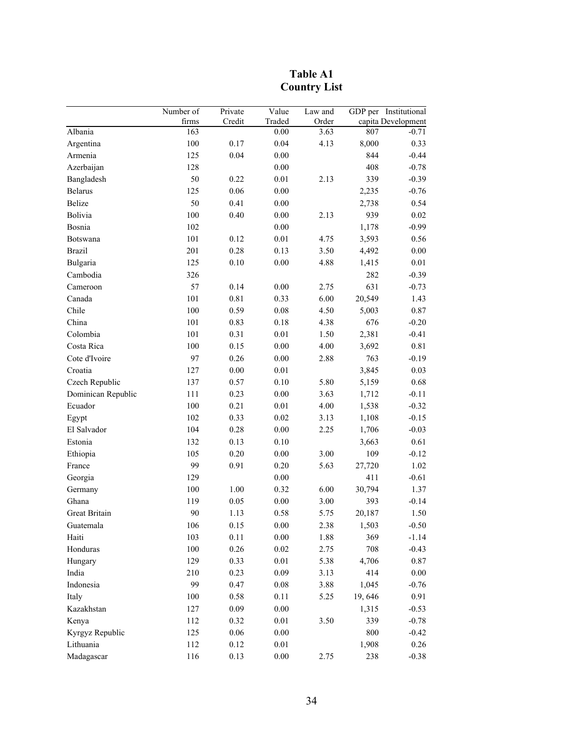|                      | Number of | Private  | Value    | Law and |         | GDP per Institutional |
|----------------------|-----------|----------|----------|---------|---------|-----------------------|
|                      | firms     | Credit   | Traded   | Order   |         | capita Development    |
| Albania              | 163       |          | 0.00     | 3.63    | 807     | $-0.71$               |
| Argentina            | 100       | 0.17     | 0.04     | 4.13    | 8,000   | 0.33                  |
| Armenia              | 125       | 0.04     | $0.00\,$ |         | 844     | $-0.44$               |
| Azerbaijan           | 128       |          | $0.00\,$ |         | 408     | $-0.78$               |
| Bangladesh           | 50        | 0.22     | 0.01     | 2.13    | 339     | $-0.39$               |
| <b>Belarus</b>       | 125       | 0.06     | $0.00\,$ |         | 2,235   | $-0.76$               |
| Belize               | 50        | 0.41     | $0.00\,$ |         | 2,738   | 0.54                  |
| Bolivia              | 100       | 0.40     | $0.00\,$ | 2.13    | 939     | $0.02\,$              |
| Bosnia               | 102       |          | 0.00     |         | 1,178   | $-0.99$               |
| Botswana             | 101       | 0.12     | 0.01     | 4.75    | 3,593   | 0.56                  |
| <b>Brazil</b>        | 201       | 0.28     | 0.13     | 3.50    | 4,492   | $0.00\,$              |
| Bulgaria             | 125       | 0.10     | 0.00     | 4.88    | 1,415   | $0.01\,$              |
| Cambodia             | 326       |          |          |         | 282     | $-0.39$               |
| Cameroon             | 57        | 0.14     | $0.00\,$ | 2.75    | 631     | $-0.73$               |
| Canada               | 101       | 0.81     | 0.33     | 6.00    | 20,549  | 1.43                  |
| Chile                | 100       | 0.59     | 0.08     | 4.50    | 5,003   | $0.87\,$              |
| China                | 101       | 0.83     | 0.18     | 4.38    | 676     | $-0.20$               |
| Colombia             | 101       | 0.31     | 0.01     | 1.50    | 2,381   | $-0.41$               |
| Costa Rica           | 100       | 0.15     | $0.00\,$ | 4.00    | 3,692   | 0.81                  |
| Cote d'Ivoire        | 97        | 0.26     | $0.00\,$ | 2.88    | 763     | $-0.19$               |
| Croatia              | 127       | 0.00     | 0.01     |         | 3,845   | 0.03                  |
| Czech Republic       | 137       | 0.57     | $0.10\,$ | 5.80    | 5,159   | 0.68                  |
| Dominican Republic   | 111       | 0.23     | $0.00\,$ | 3.63    | 1,712   | $-0.11$               |
| Ecuador              | 100       | 0.21     | 0.01     | 4.00    | 1,538   | $-0.32$               |
| Egypt                | 102       | 0.33     | 0.02     | 3.13    | 1,108   | $-0.15$               |
| El Salvador          | 104       | 0.28     | 0.00     | 2.25    | 1,706   | $-0.03$               |
| Estonia              | 132       | 0.13     | $0.10\,$ |         | 3,663   | 0.61                  |
| Ethiopia             | 105       | 0.20     | $0.00\,$ | 3.00    | 109     | $-0.12$               |
| France               | 99        | 0.91     | 0.20     | 5.63    | 27,720  | 1.02                  |
| Georgia              | 129       |          | $0.00\,$ |         | 411     | $-0.61$               |
| Germany              | 100       | 1.00     | 0.32     | 6.00    | 30,794  | 1.37                  |
| Ghana                | 119       | 0.05     | $0.00\,$ | 3.00    | 393     | $-0.14$               |
| <b>Great Britain</b> | 90        | 1.13     | 0.58     | 5.75    | 20,187  | 1.50                  |
| Guatemala            | 106       | 0.15     | 0.00     | 2.38    | 1,503   | $-0.50$               |
| Haiti                | 103       | 0.11     | $0.00\,$ | 1.88    | 369     | $-1.14$               |
| Honduras             | 100       | 0.26     | 0.02     | 2.75    | 708     | $-0.43$               |
| Hungary              | 129       | 0.33     | 0.01     | 5.38    | 4,706   | 0.87                  |
| India                | 210       | 0.23     | 0.09     | 3.13    | 414     | $0.00\,$              |
| Indonesia            | 99        | 0.47     | $0.08\,$ | 3.88    | 1,045   | $-0.76$               |
| Italy                | $100\,$   | 0.58     | 0.11     | 5.25    | 19,646  | 0.91                  |
| Kazakhstan           | 127       | 0.09     | $0.00\,$ |         | 1,315   | $-0.53$               |
| Kenya                | 112       | 0.32     | $0.01\,$ | 3.50    | 339     | $-0.78$               |
| Kyrgyz Republic      | 125       | $0.06\,$ | $0.00\,$ |         | $800\,$ | $-0.42$               |
| Lithuania            | 112       | 0.12     | 0.01     |         | 1,908   | 0.26                  |
| Madagascar           | 116       | 0.13     | $0.00\,$ | 2.75    | 238     | $-0.38$               |

**Table A1 Country List**